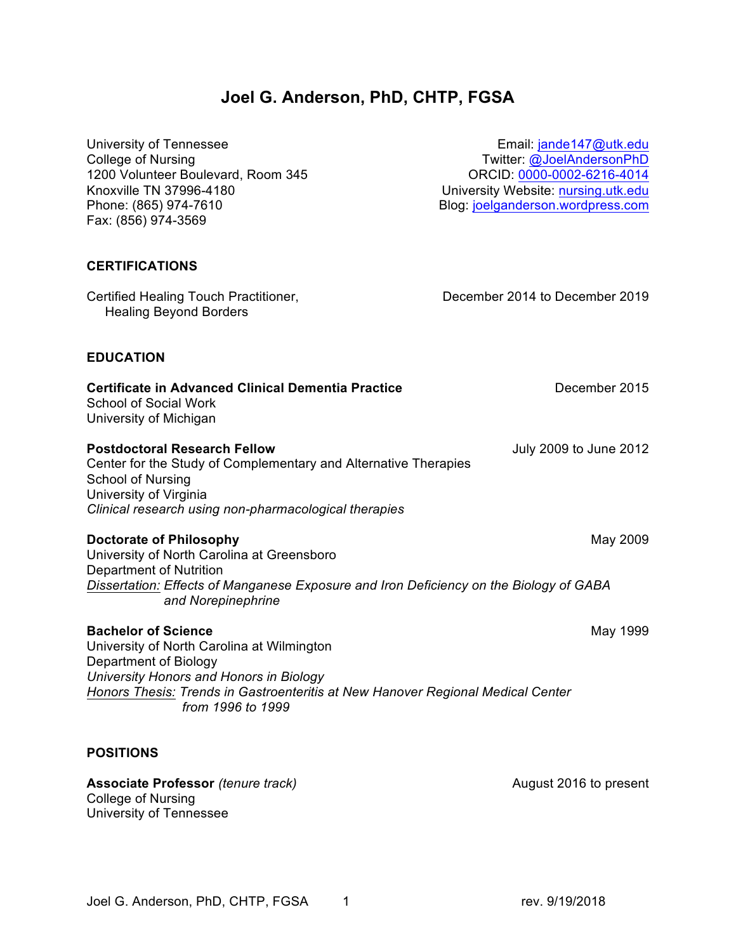# **Joel G. Anderson, PhD, CHTP, FGSA**

University of Tennessee **Email:** jande147@utk.edu College of Nursing<br>
1200 Volunteer Boulevard, Room 345 <br>
2000-0002-6216-4014 1200 Volunteer Boulevard, Room 345 Knoxville TN 37996-4180 University Website: nursing.utk.edu Phone: (865) 974-7610 Blog: joelganderson.wordpress.com Fax: (856) 974-3569

#### **CERTIFICATIONS**

Certified Healing Touch Practitioner, December 2014 to December 2019 Healing Beyond Borders

#### **EDUCATION**

**Certificate in Advanced Clinical Dementia Practice** December 2015 School of Social Work University of Michigan

**Postdoctoral Research Fellow Contract Contract Contract Contract Contract Contract Contract Contract Contract Contract Contract Contract Contract Contract Contract Contract Contract Contract Contract Contract Contract C** Center for the Study of Complementary and Alternative Therapies School of Nursing University of Virginia *Clinical research using non-pharmacological therapies*

**Doctorate of Philosophy** May 2009 University of North Carolina at Greensboro Department of Nutrition *Dissertation: Effects of Manganese Exposure and Iron Deficiency on the Biology of GABA and Norepinephrine*

**Bachelor of Science** May 1999 University of North Carolina at Wilmington Department of Biology *University Honors and Honors in Biology Honors Thesis: Trends in Gastroenteritis at New Hanover Regional Medical Center from 1996 to 1999*

#### **POSITIONS**

**Associate Professor** *(tenure track)* August 2016 to present College of Nursing University of Tennessee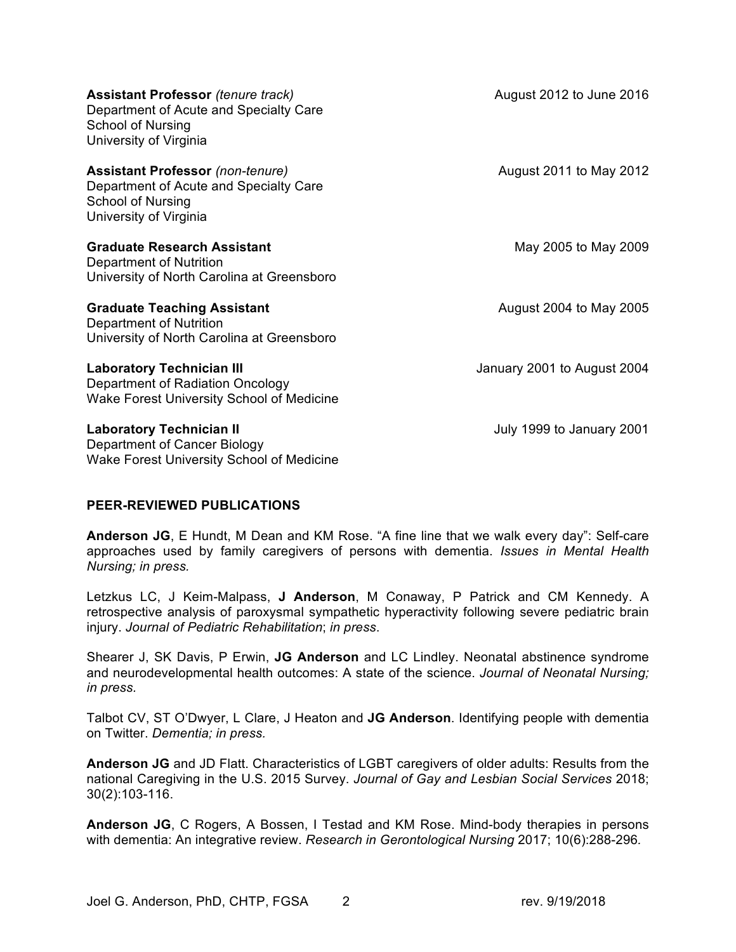| <b>Assistant Professor</b> (tenure track)<br>Department of Acute and Specialty Care<br>School of Nursing<br>University of Virginia | August 2012 to June 2016    |
|------------------------------------------------------------------------------------------------------------------------------------|-----------------------------|
| <b>Assistant Professor (non-tenure)</b><br>Department of Acute and Specialty Care<br>School of Nursing<br>University of Virginia   | August 2011 to May 2012     |
| <b>Graduate Research Assistant</b><br>Department of Nutrition<br>University of North Carolina at Greensboro                        | May 2005 to May 2009        |
| <b>Graduate Teaching Assistant</b><br>Department of Nutrition<br>University of North Carolina at Greensboro                        | August 2004 to May 2005     |
| <b>Laboratory Technician III</b><br>Department of Radiation Oncology<br>Wake Forest University School of Medicine                  | January 2001 to August 2004 |
| <b>Laboratory Technician II</b><br>Department of Cancer Biology                                                                    | July 1999 to January 2001   |

#### **PEER-REVIEWED PUBLICATIONS**

Wake Forest University School of Medicine

**Anderson JG**, E Hundt, M Dean and KM Rose. "A fine line that we walk every day": Self-care approaches used by family caregivers of persons with dementia. *Issues in Mental Health Nursing; in press.*

Letzkus LC, J Keim-Malpass, **J Anderson**, M Conaway, P Patrick and CM Kennedy. A retrospective analysis of paroxysmal sympathetic hyperactivity following severe pediatric brain injury. *Journal of Pediatric Rehabilitation*; *in press*.

Shearer J, SK Davis, P Erwin, **JG Anderson** and LC Lindley. Neonatal abstinence syndrome and neurodevelopmental health outcomes: A state of the science. *Journal of Neonatal Nursing; in press.*

Talbot CV, ST O'Dwyer, L Clare, J Heaton and **JG Anderson**. Identifying people with dementia on Twitter. *Dementia; in press.*

**Anderson JG** and JD Flatt. Characteristics of LGBT caregivers of older adults: Results from the national Caregiving in the U.S. 2015 Survey. *Journal of Gay and Lesbian Social Services* 2018; 30(2):103-116.

**Anderson JG**, C Rogers, A Bossen, I Testad and KM Rose. Mind-body therapies in persons with dementia: An integrative review. *Research in Gerontological Nursing* 2017; 10(6):288-296*.*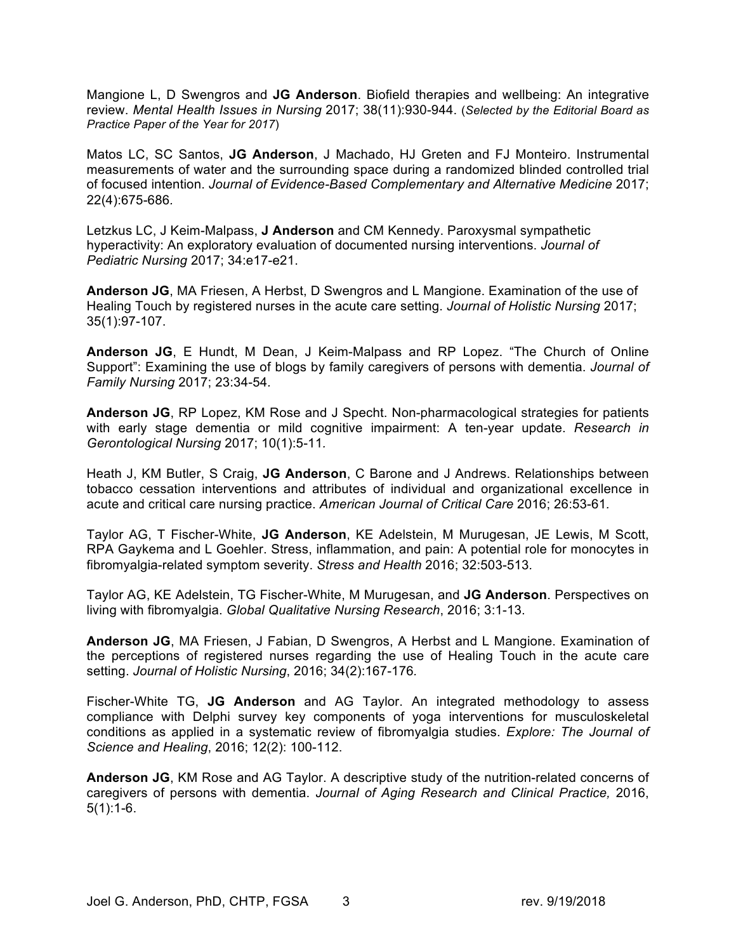Mangione L, D Swengros and **JG Anderson**. Biofield therapies and wellbeing: An integrative review. *Mental Health Issues in Nursing* 2017; 38(11):930-944. (*Selected by the Editorial Board as Practice Paper of the Year for 2017*)

Matos LC, SC Santos, **JG Anderson**, J Machado, HJ Greten and FJ Monteiro. Instrumental measurements of water and the surrounding space during a randomized blinded controlled trial of focused intention. *Journal of Evidence-Based Complementary and Alternative Medicine* 2017; 22(4):675-686*.*

Letzkus LC, J Keim-Malpass, **J Anderson** and CM Kennedy. Paroxysmal sympathetic hyperactivity: An exploratory evaluation of documented nursing interventions. *Journal of Pediatric Nursing* 2017; 34:e17-e21.

**Anderson JG**, MA Friesen, A Herbst, D Swengros and L Mangione. Examination of the use of Healing Touch by registered nurses in the acute care setting. *Journal of Holistic Nursing* 2017; 35(1):97-107.

**Anderson JG**, E Hundt, M Dean, J Keim-Malpass and RP Lopez. "The Church of Online Support": Examining the use of blogs by family caregivers of persons with dementia. *Journal of Family Nursing* 2017; 23:34-54*.*

**Anderson JG**, RP Lopez, KM Rose and J Specht. Non-pharmacological strategies for patients with early stage dementia or mild cognitive impairment: A ten-year update. *Research in Gerontological Nursing* 2017; 10(1):5-11*.*

Heath J, KM Butler, S Craig, **JG Anderson**, C Barone and J Andrews. Relationships between tobacco cessation interventions and attributes of individual and organizational excellence in acute and critical care nursing practice. *American Journal of Critical Care* 2016; 26:53-61*.*

Taylor AG, T Fischer-White, **JG Anderson**, KE Adelstein, M Murugesan, JE Lewis, M Scott, RPA Gaykema and L Goehler. Stress, inflammation, and pain: A potential role for monocytes in fibromyalgia-related symptom severity. *Stress and Health* 2016; 32:503-513*.*

Taylor AG, KE Adelstein, TG Fischer-White, M Murugesan, and **JG Anderson**. Perspectives on living with fibromyalgia. *Global Qualitative Nursing Research*, 2016; 3:1-13.

**Anderson JG**, MA Friesen, J Fabian, D Swengros, A Herbst and L Mangione. Examination of the perceptions of registered nurses regarding the use of Healing Touch in the acute care setting. *Journal of Holistic Nursing*, 2016; 34(2):167-176*.*

Fischer-White TG, **JG Anderson** and AG Taylor. An integrated methodology to assess compliance with Delphi survey key components of yoga interventions for musculoskeletal conditions as applied in a systematic review of fibromyalgia studies. *Explore: The Journal of Science and Healing*, 2016; 12(2): 100-112.

**Anderson JG**, KM Rose and AG Taylor. A descriptive study of the nutrition-related concerns of caregivers of persons with dementia. *Journal of Aging Research and Clinical Practice,* 2016,  $5(1):1-6.$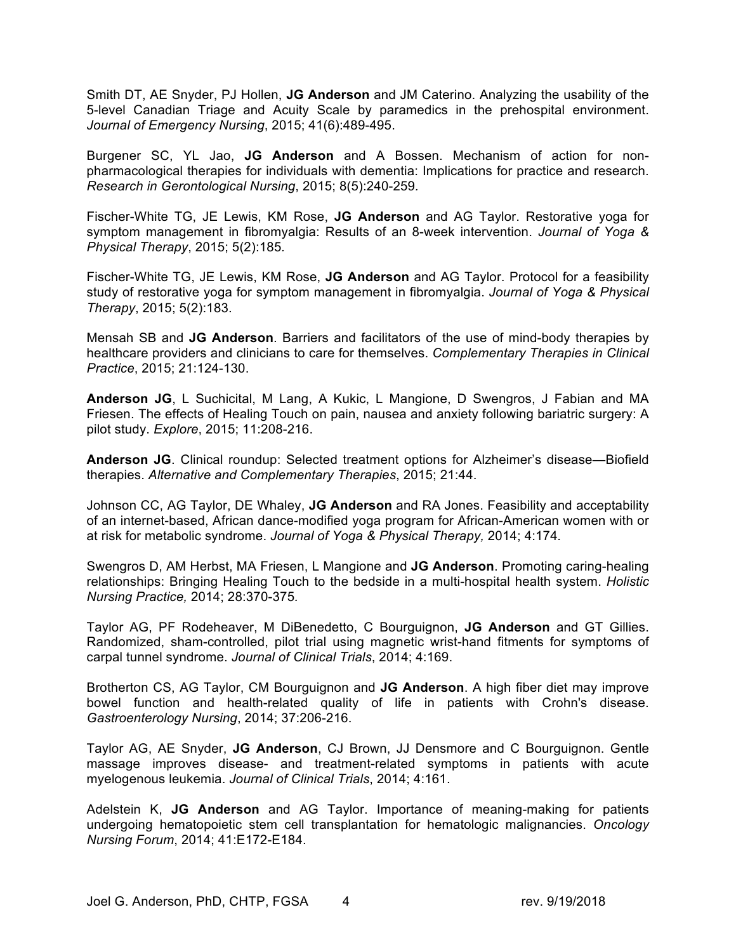Smith DT, AE Snyder, PJ Hollen, **JG Anderson** and JM Caterino. Analyzing the usability of the 5-level Canadian Triage and Acuity Scale by paramedics in the prehospital environment. *Journal of Emergency Nursing*, 2015; 41(6):489-495.

Burgener SC, YL Jao, **JG Anderson** and A Bossen. Mechanism of action for nonpharmacological therapies for individuals with dementia: Implications for practice and research. *Research in Gerontological Nursing*, 2015; 8(5):240-259*.*

Fischer-White TG, JE Lewis, KM Rose, **JG Anderson** and AG Taylor. Restorative yoga for symptom management in fibromyalgia: Results of an 8-week intervention. *Journal of Yoga & Physical Therapy*, 2015; 5(2):185*.*

Fischer-White TG, JE Lewis, KM Rose, **JG Anderson** and AG Taylor. Protocol for a feasibility study of restorative yoga for symptom management in fibromyalgia. *Journal of Yoga & Physical Therapy*, 2015; 5(2):183.

Mensah SB and **JG Anderson**. Barriers and facilitators of the use of mind-body therapies by healthcare providers and clinicians to care for themselves. *Complementary Therapies in Clinical Practice*, 2015; 21:124-130.

**Anderson JG**, L Suchicital, M Lang, A Kukic, L Mangione, D Swengros, J Fabian and MA Friesen. The effects of Healing Touch on pain, nausea and anxiety following bariatric surgery: A pilot study. *Explore*, 2015; 11:208-216.

**Anderson JG**. Clinical roundup: Selected treatment options for Alzheimer's disease—Biofield therapies. *Alternative and Complementary Therapies*, 2015; 21:44.

Johnson CC, AG Taylor, DE Whaley, **JG Anderson** and RA Jones. Feasibility and acceptability of an internet-based, African dance-modified yoga program for African-American women with or at risk for metabolic syndrome. *Journal of Yoga & Physical Therapy,* 2014; 4:174*.*

Swengros D, AM Herbst, MA Friesen, L Mangione and **JG Anderson**. Promoting caring-healing relationships: Bringing Healing Touch to the bedside in a multi-hospital health system. *Holistic Nursing Practice,* 2014; 28:370-375*.*

Taylor AG, PF Rodeheaver, M DiBenedetto, C Bourguignon, **JG Anderson** and GT Gillies. Randomized, sham-controlled, pilot trial using magnetic wrist-hand fitments for symptoms of carpal tunnel syndrome. *Journal of Clinical Trials*, 2014; 4:169.

Brotherton CS, AG Taylor, CM Bourguignon and **JG Anderson**. A high fiber diet may improve bowel function and health-related quality of life in patients with Crohn's disease. *Gastroenterology Nursing*, 2014; 37:206-216.

Taylor AG, AE Snyder, **JG Anderson**, CJ Brown, JJ Densmore and C Bourguignon. Gentle massage improves disease- and treatment-related symptoms in patients with acute myelogenous leukemia. *Journal of Clinical Trials*, 2014; 4:161.

Adelstein K, **JG Anderson** and AG Taylor. Importance of meaning-making for patients undergoing hematopoietic stem cell transplantation for hematologic malignancies. *Oncology Nursing Forum*, 2014; 41:E172-E184.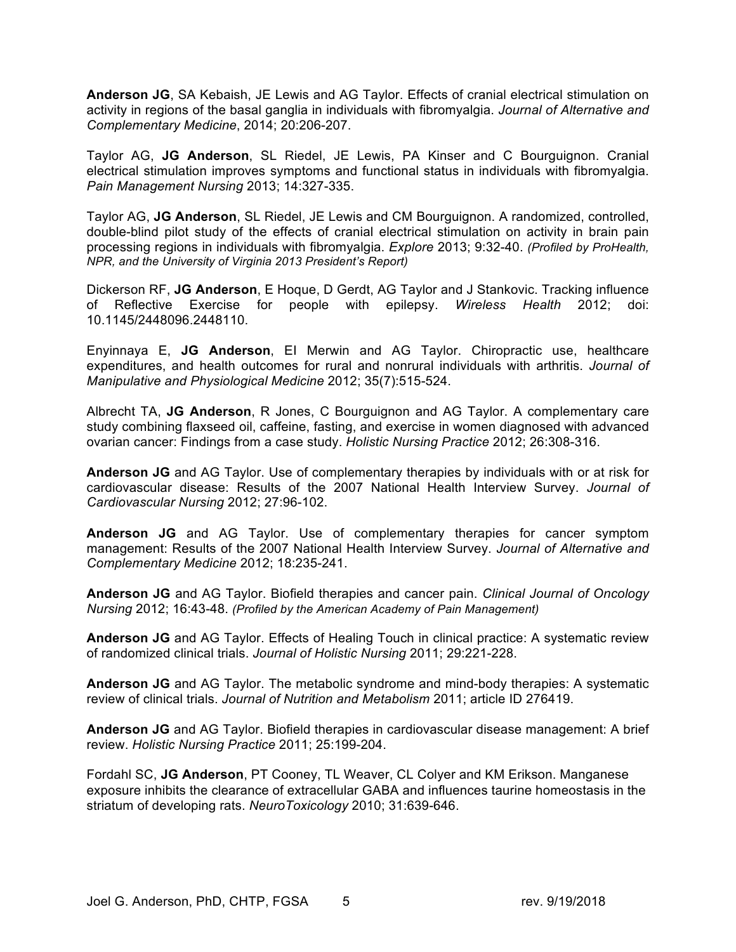**Anderson JG**, SA Kebaish, JE Lewis and AG Taylor. Effects of cranial electrical stimulation on activity in regions of the basal ganglia in individuals with fibromyalgia. *Journal of Alternative and Complementary Medicine*, 2014; 20:206-207.

Taylor AG, **JG Anderson**, SL Riedel, JE Lewis, PA Kinser and C Bourguignon. Cranial electrical stimulation improves symptoms and functional status in individuals with fibromyalgia. *Pain Management Nursing* 2013; 14:327-335.

Taylor AG, **JG Anderson**, SL Riedel, JE Lewis and CM Bourguignon. A randomized, controlled, double-blind pilot study of the effects of cranial electrical stimulation on activity in brain pain processing regions in individuals with fibromyalgia. *Explore* 2013; 9:32-40. *(Profiled by ProHealth, NPR, and the University of Virginia 2013 President's Report)*

Dickerson RF, **JG Anderson**, E Hoque, D Gerdt, AG Taylor and J Stankovic. Tracking influence of Reflective Exercise for people with epilepsy. *Wireless Health* 2012; doi: 10.1145/2448096.2448110.

Enyinnaya E, **JG Anderson**, EI Merwin and AG Taylor. Chiropractic use, healthcare expenditures, and health outcomes for rural and nonrural individuals with arthritis. *Journal of Manipulative and Physiological Medicine* 2012; 35(7):515-524.

Albrecht TA, **JG Anderson**, R Jones, C Bourguignon and AG Taylor. A complementary care study combining flaxseed oil, caffeine, fasting, and exercise in women diagnosed with advanced ovarian cancer: Findings from a case study. *Holistic Nursing Practice* 2012; 26:308-316.

**Anderson JG** and AG Taylor. Use of complementary therapies by individuals with or at risk for cardiovascular disease: Results of the 2007 National Health Interview Survey. *Journal of Cardiovascular Nursing* 2012; 27:96-102.

**Anderson JG** and AG Taylor. Use of complementary therapies for cancer symptom management: Results of the 2007 National Health Interview Survey. *Journal of Alternative and Complementary Medicine* 2012; 18:235-241.

**Anderson JG** and AG Taylor. Biofield therapies and cancer pain. *Clinical Journal of Oncology Nursing* 2012; 16:43-48. *(Profiled by the American Academy of Pain Management)*

**Anderson JG** and AG Taylor. Effects of Healing Touch in clinical practice: A systematic review of randomized clinical trials. *Journal of Holistic Nursing* 2011; 29:221-228.

**Anderson JG** and AG Taylor. The metabolic syndrome and mind-body therapies: A systematic review of clinical trials. *Journal of Nutrition and Metabolism* 2011; article ID 276419.

**Anderson JG** and AG Taylor. Biofield therapies in cardiovascular disease management: A brief review. *Holistic Nursing Practice* 2011; 25:199-204.

Fordahl SC, **JG Anderson**, PT Cooney, TL Weaver, CL Colyer and KM Erikson. Manganese exposure inhibits the clearance of extracellular GABA and influences taurine homeostasis in the striatum of developing rats. *NeuroToxicology* 2010; 31:639-646.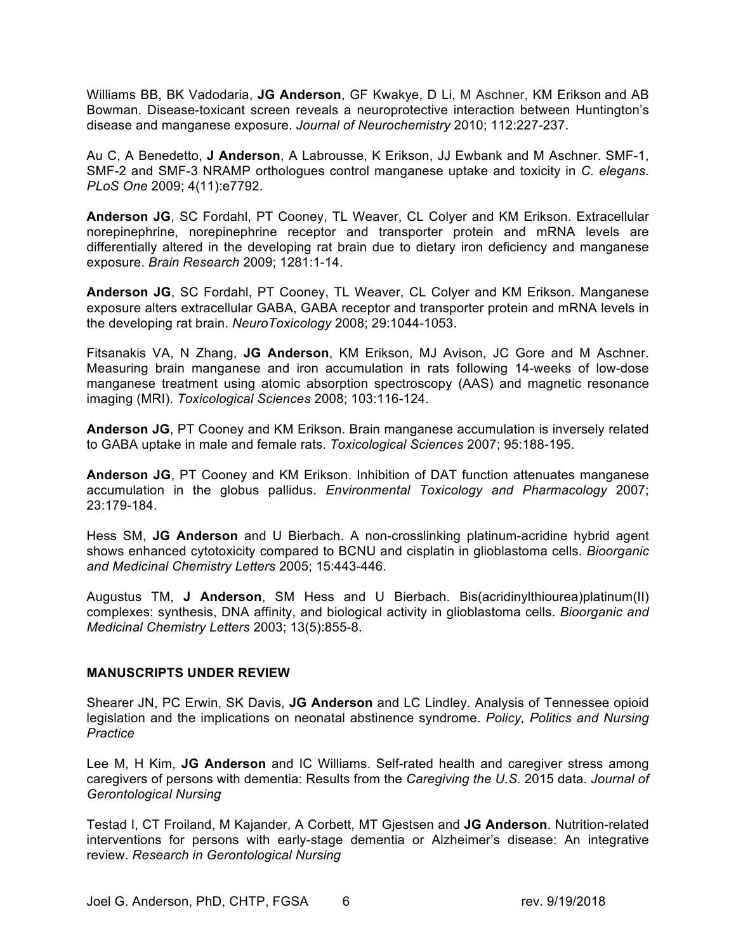Williams BB, BK Vadodaria, **JG Anderson**, GF Kwakye, D Li, M Aschner, KM Erikson and AB Bowman. Disease-toxicant screen reveals a neuroprotective interaction between Huntington's disease and manganese exposure. *Journal of Neurochemistry* 2010; 112:227-237.

Au C, A Benedetto, **J Anderson**, A Labrousse, K Erikson, JJ Ewbank and M Aschner. SMF-1, SMF-2 and SMF-3 NRAMP orthologues control manganese uptake and toxicity in *C. elegans*. *PLoS One* 2009; 4(11):e7792.

**Anderson JG**, SC Fordahl, PT Cooney, TL Weaver, CL Colyer and KM Erikson. Extracellular norepinephrine, norepinephrine receptor and transporter protein and mRNA levels are differentially altered in the developing rat brain due to dietary iron deficiency and manganese exposure. *Brain Research* 2009; 1281:1-14.

**Anderson JG**, SC Fordahl, PT Cooney, TL Weaver, CL Colyer and KM Erikson. Manganese exposure alters extracellular GABA, GABA receptor and transporter protein and mRNA levels in the developing rat brain. *NeuroToxicology* 2008; 29:1044-1053.

Fitsanakis VA, N Zhang, **JG Anderson**, KM Erikson, MJ Avison, JC Gore and M Aschner. Measuring brain manganese and iron accumulation in rats following 14-weeks of low-dose manganese treatment using atomic absorption spectroscopy (AAS) and magnetic resonance imaging (MRI). *Toxicological Sciences* 2008; 103:116-124.

**Anderson JG**, PT Cooney and KM Erikson. Brain manganese accumulation is inversely related to GABA uptake in male and female rats. *Toxicological Sciences* 2007; 95:188-195.

**Anderson JG**, PT Cooney and KM Erikson. Inhibition of DAT function attenuates manganese accumulation in the globus pallidus. *Environmental Toxicology and Pharmacology* 2007; 23:179-184.

Hess SM, **JG Anderson** and U Bierbach. A non-crosslinking platinum-acridine hybrid agent shows enhanced cytotoxicity compared to BCNU and cisplatin in glioblastoma cells. *Bioorganic and Medicinal Chemistry Letters* 2005; 15:443-446.

Augustus TM, **J Anderson**, SM Hess and U Bierbach. Bis(acridinylthiourea)platinum(II) complexes: synthesis, DNA affinity, and biological activity in glioblastoma cells. *Bioorganic and Medicinal Chemistry Letters* 2003; 13(5):855-8.

#### **MANUSCRIPTS UNDER REVIEW**

Shearer JN, PC Erwin, SK Davis, **JG Anderson** and LC Lindley. Analysis of Tennessee opioid legislation and the implications on neonatal abstinence syndrome. *Policy, Politics and Nursing Practice*

Lee M, H Kim, **JG Anderson** and IC Williams. Self-rated health and caregiver stress among caregivers of persons with dementia: Results from the *Caregiving the U.S.* 2015 data. *Journal of Gerontological Nursing*

Testad I, CT Froiland, M Kajander, A Corbett, MT Gjestsen and **JG Anderson**. Nutrition-related interventions for persons with early-stage dementia or Alzheimer's disease: An integrative review. *Research in Gerontological Nursing*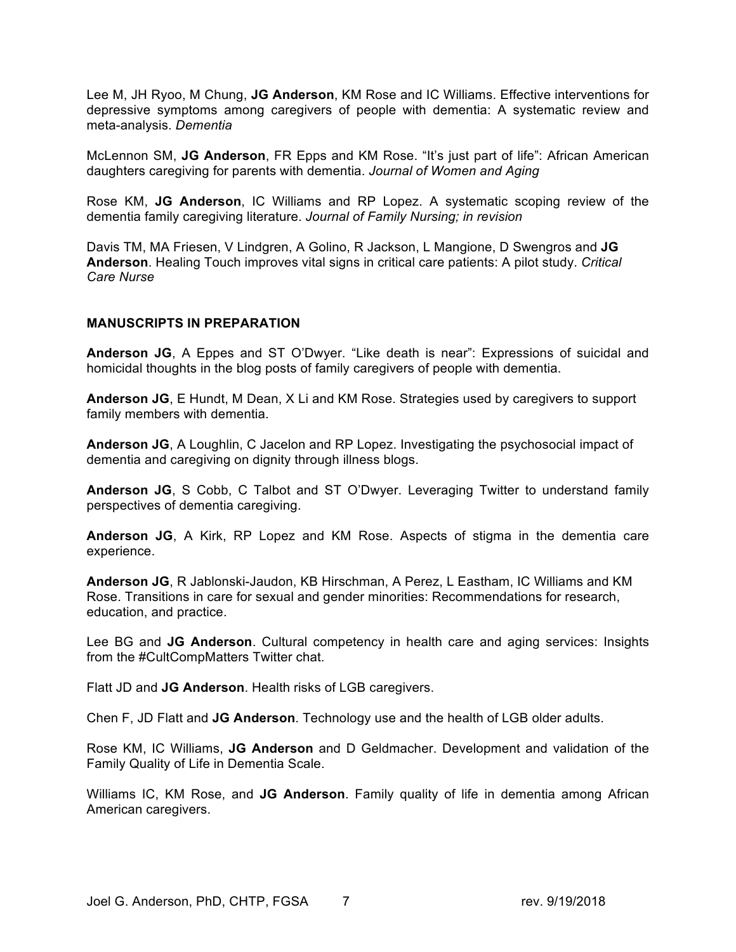Lee M, JH Ryoo, M Chung, **JG Anderson**, KM Rose and IC Williams. Effective interventions for depressive symptoms among caregivers of people with dementia: A systematic review and meta-analysis. *Dementia*

McLennon SM, **JG Anderson**, FR Epps and KM Rose. "It's just part of life": African American daughters caregiving for parents with dementia. *Journal of Women and Aging*

Rose KM, **JG Anderson**, IC Williams and RP Lopez. A systematic scoping review of the dementia family caregiving literature. *Journal of Family Nursing; in revision*

Davis TM, MA Friesen, V Lindgren, A Golino, R Jackson, L Mangione, D Swengros and **JG Anderson**. Healing Touch improves vital signs in critical care patients: A pilot study. *Critical Care Nurse*

#### **MANUSCRIPTS IN PREPARATION**

**Anderson JG**, A Eppes and ST O'Dwyer. "Like death is near": Expressions of suicidal and homicidal thoughts in the blog posts of family caregivers of people with dementia.

**Anderson JG**, E Hundt, M Dean, X Li and KM Rose. Strategies used by caregivers to support family members with dementia.

**Anderson JG**, A Loughlin, C Jacelon and RP Lopez. Investigating the psychosocial impact of dementia and caregiving on dignity through illness blogs.

**Anderson JG**, S Cobb, C Talbot and ST O'Dwyer. Leveraging Twitter to understand family perspectives of dementia caregiving.

**Anderson JG**, A Kirk, RP Lopez and KM Rose. Aspects of stigma in the dementia care experience.

**Anderson JG**, R Jablonski-Jaudon, KB Hirschman, A Perez, L Eastham, IC Williams and KM Rose. Transitions in care for sexual and gender minorities: Recommendations for research, education, and practice.

Lee BG and **JG Anderson**. Cultural competency in health care and aging services: Insights from the #CultCompMatters Twitter chat.

Flatt JD and **JG Anderson**. Health risks of LGB caregivers.

Chen F, JD Flatt and **JG Anderson**. Technology use and the health of LGB older adults.

Rose KM, IC Williams, **JG Anderson** and D Geldmacher. Development and validation of the Family Quality of Life in Dementia Scale.

Williams IC, KM Rose, and **JG Anderson**. Family quality of life in dementia among African American caregivers.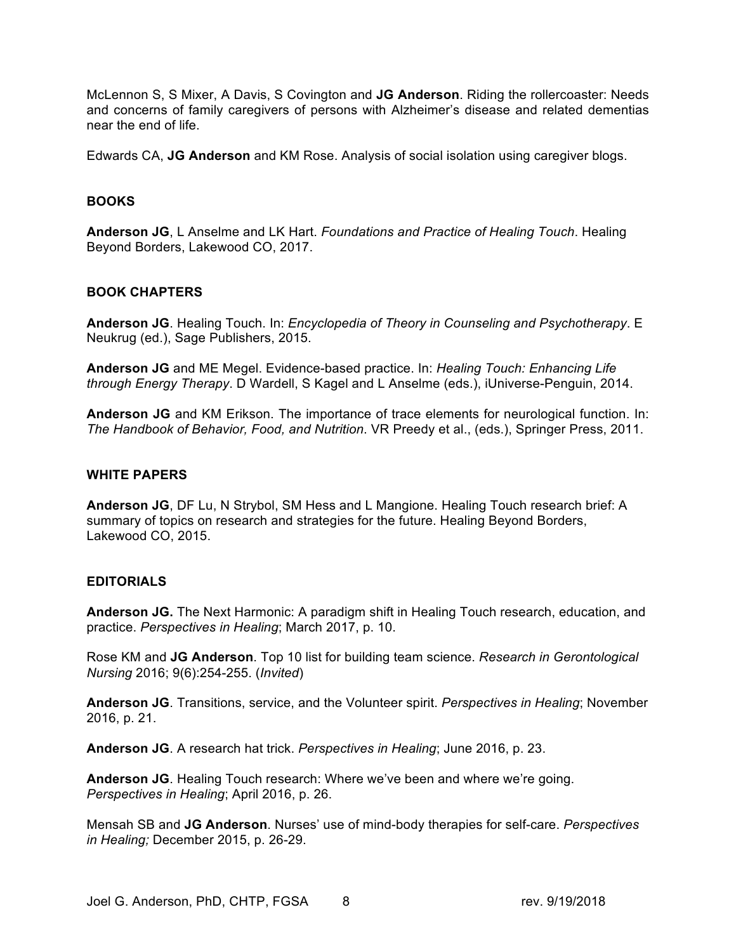McLennon S, S Mixer, A Davis, S Covington and **JG Anderson**. Riding the rollercoaster: Needs and concerns of family caregivers of persons with Alzheimer's disease and related dementias near the end of life.

Edwards CA, **JG Anderson** and KM Rose. Analysis of social isolation using caregiver blogs.

## **BOOKS**

**Anderson JG**, L Anselme and LK Hart. *Foundations and Practice of Healing Touch*. Healing Beyond Borders, Lakewood CO, 2017.

## **BOOK CHAPTERS**

**Anderson JG**. Healing Touch. In: *Encyclopedia of Theory in Counseling and Psychotherapy*. E Neukrug (ed.), Sage Publishers, 2015.

**Anderson JG** and ME Megel. Evidence-based practice. In: *Healing Touch: Enhancing Life through Energy Therapy*. D Wardell, S Kagel and L Anselme (eds.), iUniverse-Penguin, 2014.

**Anderson JG** and KM Erikson. The importance of trace elements for neurological function. In: *The Handbook of Behavior, Food, and Nutrition*. VR Preedy et al., (eds.), Springer Press, 2011.

### **WHITE PAPERS**

**Anderson JG**, DF Lu, N Strybol, SM Hess and L Mangione. Healing Touch research brief: A summary of topics on research and strategies for the future. Healing Beyond Borders, Lakewood CO, 2015.

## **EDITORIALS**

**Anderson JG.** The Next Harmonic: A paradigm shift in Healing Touch research, education, and practice. *Perspectives in Healing*; March 2017, p. 10.

Rose KM and **JG Anderson**. Top 10 list for building team science. *Research in Gerontological Nursing* 2016; 9(6):254-255. (*Invited*)

**Anderson JG**. Transitions, service, and the Volunteer spirit. *Perspectives in Healing*; November 2016, p. 21.

**Anderson JG**. A research hat trick. *Perspectives in Healing*; June 2016, p. 23.

**Anderson JG**. Healing Touch research: Where we've been and where we're going. *Perspectives in Healing*; April 2016, p. 26.

Mensah SB and **JG Anderson**. Nurses' use of mind-body therapies for self-care. *Perspectives in Healing;* December 2015, p. 26-29.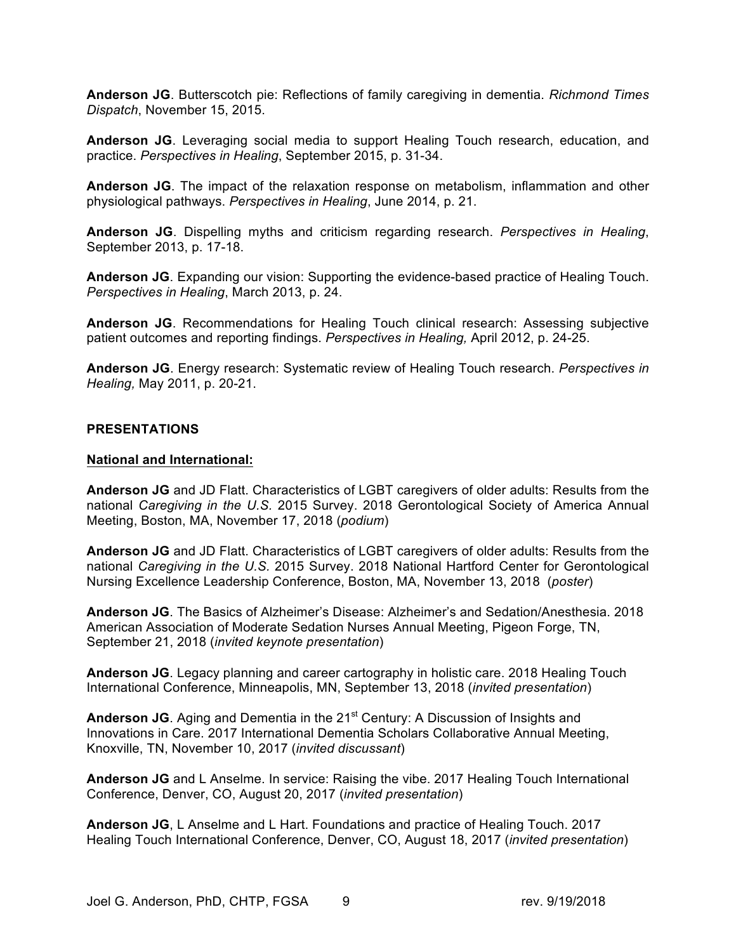**Anderson JG**. Butterscotch pie: Reflections of family caregiving in dementia. *Richmond Times Dispatch*, November 15, 2015.

**Anderson JG**. Leveraging social media to support Healing Touch research, education, and practice. *Perspectives in Healing*, September 2015, p. 31-34.

**Anderson JG**. The impact of the relaxation response on metabolism, inflammation and other physiological pathways. *Perspectives in Healing*, June 2014, p. 21.

**Anderson JG**. Dispelling myths and criticism regarding research. *Perspectives in Healing*, September 2013, p. 17-18.

**Anderson JG**. Expanding our vision: Supporting the evidence-based practice of Healing Touch. *Perspectives in Healing*, March 2013, p. 24.

**Anderson JG**. Recommendations for Healing Touch clinical research: Assessing subjective patient outcomes and reporting findings. *Perspectives in Healing,* April 2012, p. 24-25.

**Anderson JG**. Energy research: Systematic review of Healing Touch research. *Perspectives in Healing,* May 2011, p. 20-21.

#### **PRESENTATIONS**

#### **National and International:**

**Anderson JG** and JD Flatt. Characteristics of LGBT caregivers of older adults: Results from the national *Caregiving in the U.S.* 2015 Survey. 2018 Gerontological Society of America Annual Meeting, Boston, MA, November 17, 2018 (*podium*)

**Anderson JG** and JD Flatt. Characteristics of LGBT caregivers of older adults: Results from the national *Caregiving in the U.S.* 2015 Survey. 2018 National Hartford Center for Gerontological Nursing Excellence Leadership Conference, Boston, MA, November 13, 2018 (*poster*)

**Anderson JG**. The Basics of Alzheimer's Disease: Alzheimer's and Sedation/Anesthesia. 2018 American Association of Moderate Sedation Nurses Annual Meeting, Pigeon Forge, TN, September 21, 2018 (*invited keynote presentation*)

**Anderson JG**. Legacy planning and career cartography in holistic care. 2018 Healing Touch International Conference, Minneapolis, MN, September 13, 2018 (*invited presentation*)

**Anderson JG**. Aging and Dementia in the 21<sup>st</sup> Century: A Discussion of Insights and Innovations in Care. 2017 International Dementia Scholars Collaborative Annual Meeting, Knoxville, TN, November 10, 2017 (*invited discussant*)

**Anderson JG** and L Anselme. In service: Raising the vibe. 2017 Healing Touch International Conference, Denver, CO, August 20, 2017 (*invited presentation*)

**Anderson JG**, L Anselme and L Hart. Foundations and practice of Healing Touch. 2017 Healing Touch International Conference, Denver, CO, August 18, 2017 (*invited presentation*)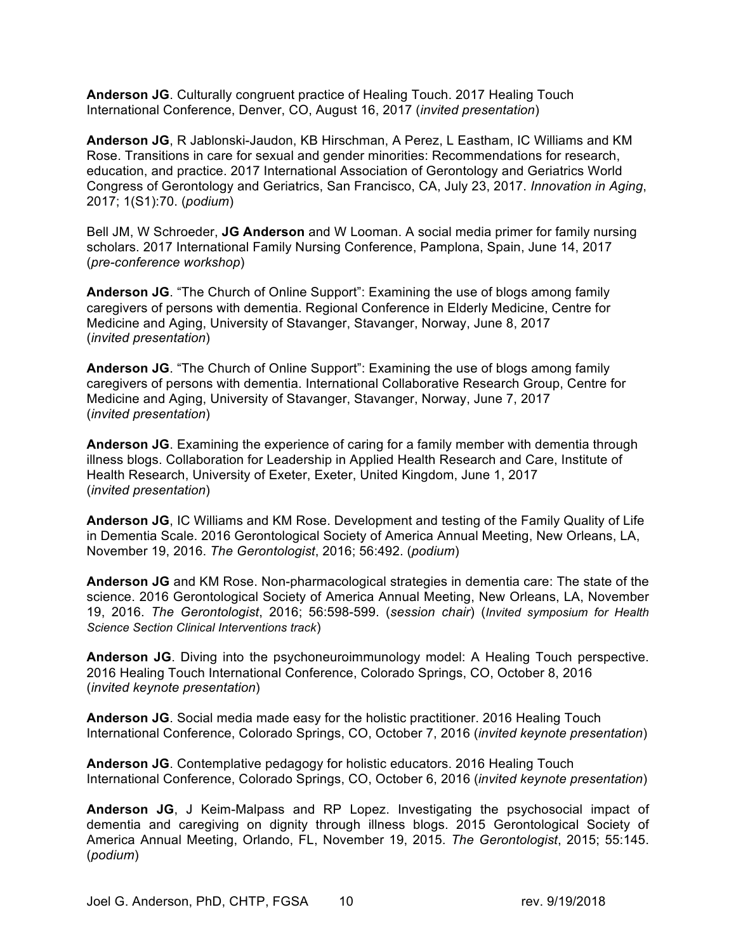**Anderson JG**. Culturally congruent practice of Healing Touch. 2017 Healing Touch International Conference, Denver, CO, August 16, 2017 (*invited presentation*)

**Anderson JG**, R Jablonski-Jaudon, KB Hirschman, A Perez, L Eastham, IC Williams and KM Rose. Transitions in care for sexual and gender minorities: Recommendations for research, education, and practice. 2017 International Association of Gerontology and Geriatrics World Congress of Gerontology and Geriatrics, San Francisco, CA, July 23, 2017. *Innovation in Aging*, 2017; 1(S1):70. (*podium*)

Bell JM, W Schroeder, **JG Anderson** and W Looman. A social media primer for family nursing scholars. 2017 International Family Nursing Conference, Pamplona, Spain, June 14, 2017 (*pre-conference workshop*)

**Anderson JG**. "The Church of Online Support": Examining the use of blogs among family caregivers of persons with dementia. Regional Conference in Elderly Medicine, Centre for Medicine and Aging, University of Stavanger, Stavanger, Norway, June 8, 2017 (*invited presentation*)

**Anderson JG**. "The Church of Online Support": Examining the use of blogs among family caregivers of persons with dementia. International Collaborative Research Group, Centre for Medicine and Aging, University of Stavanger, Stavanger, Norway, June 7, 2017 (*invited presentation*)

**Anderson JG**. Examining the experience of caring for a family member with dementia through illness blogs. Collaboration for Leadership in Applied Health Research and Care, Institute of Health Research, University of Exeter, Exeter, United Kingdom, June 1, 2017 (*invited presentation*)

**Anderson JG**, IC Williams and KM Rose. Development and testing of the Family Quality of Life in Dementia Scale. 2016 Gerontological Society of America Annual Meeting, New Orleans, LA, November 19, 2016. *The Gerontologist*, 2016; 56:492. (*podium*)

**Anderson JG** and KM Rose. Non-pharmacological strategies in dementia care: The state of the science. 2016 Gerontological Society of America Annual Meeting, New Orleans, LA, November 19, 2016. *The Gerontologist*, 2016; 56:598-599. (*session chair*) (*Invited symposium for Health Science Section Clinical Interventions track*)

**Anderson JG**. Diving into the psychoneuroimmunology model: A Healing Touch perspective. 2016 Healing Touch International Conference, Colorado Springs, CO, October 8, 2016 (*invited keynote presentation*)

**Anderson JG**. Social media made easy for the holistic practitioner. 2016 Healing Touch International Conference, Colorado Springs, CO, October 7, 2016 (*invited keynote presentation*)

**Anderson JG**. Contemplative pedagogy for holistic educators. 2016 Healing Touch International Conference, Colorado Springs, CO, October 6, 2016 (*invited keynote presentation*)

**Anderson JG**, J Keim-Malpass and RP Lopez. Investigating the psychosocial impact of dementia and caregiving on dignity through illness blogs. 2015 Gerontological Society of America Annual Meeting, Orlando, FL, November 19, 2015. *The Gerontologist*, 2015; 55:145. (*podium*)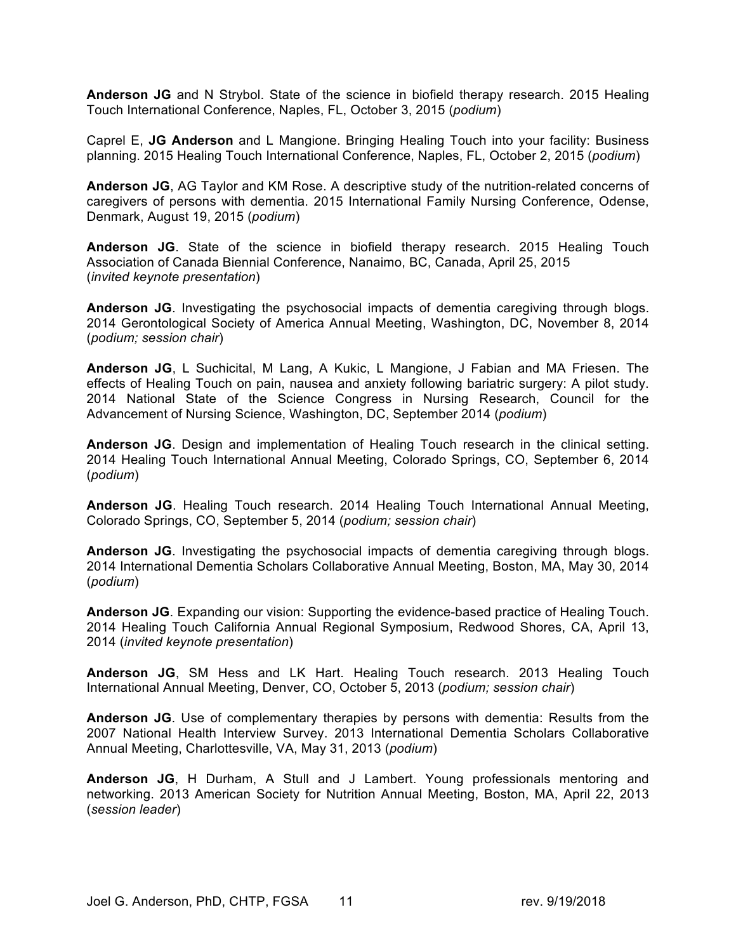**Anderson JG** and N Strybol. State of the science in biofield therapy research. 2015 Healing Touch International Conference, Naples, FL, October 3, 2015 (*podium*)

Caprel E, **JG Anderson** and L Mangione. Bringing Healing Touch into your facility: Business planning. 2015 Healing Touch International Conference, Naples, FL, October 2, 2015 (*podium*)

**Anderson JG**, AG Taylor and KM Rose. A descriptive study of the nutrition-related concerns of caregivers of persons with dementia. 2015 International Family Nursing Conference, Odense, Denmark, August 19, 2015 (*podium*)

**Anderson JG**. State of the science in biofield therapy research. 2015 Healing Touch Association of Canada Biennial Conference, Nanaimo, BC, Canada, April 25, 2015 (*invited keynote presentation*)

**Anderson JG**. Investigating the psychosocial impacts of dementia caregiving through blogs. 2014 Gerontological Society of America Annual Meeting, Washington, DC, November 8, 2014 (*podium; session chair*)

**Anderson JG**, L Suchicital, M Lang, A Kukic, L Mangione, J Fabian and MA Friesen. The effects of Healing Touch on pain, nausea and anxiety following bariatric surgery: A pilot study. 2014 National State of the Science Congress in Nursing Research, Council for the Advancement of Nursing Science, Washington, DC, September 2014 (*podium*)

**Anderson JG**. Design and implementation of Healing Touch research in the clinical setting. 2014 Healing Touch International Annual Meeting, Colorado Springs, CO, September 6, 2014 (*podium*)

**Anderson JG**. Healing Touch research. 2014 Healing Touch International Annual Meeting, Colorado Springs, CO, September 5, 2014 (*podium; session chair*)

**Anderson JG**. Investigating the psychosocial impacts of dementia caregiving through blogs. 2014 International Dementia Scholars Collaborative Annual Meeting, Boston, MA, May 30, 2014 (*podium*)

**Anderson JG**. Expanding our vision: Supporting the evidence-based practice of Healing Touch. 2014 Healing Touch California Annual Regional Symposium, Redwood Shores, CA, April 13, 2014 (*invited keynote presentation*)

**Anderson JG**, SM Hess and LK Hart. Healing Touch research. 2013 Healing Touch International Annual Meeting, Denver, CO, October 5, 2013 (*podium; session chair*)

**Anderson JG**. Use of complementary therapies by persons with dementia: Results from the 2007 National Health Interview Survey. 2013 International Dementia Scholars Collaborative Annual Meeting, Charlottesville, VA, May 31, 2013 (*podium*)

**Anderson JG**, H Durham, A Stull and J Lambert. Young professionals mentoring and networking. 2013 American Society for Nutrition Annual Meeting, Boston, MA, April 22, 2013 (*session leader*)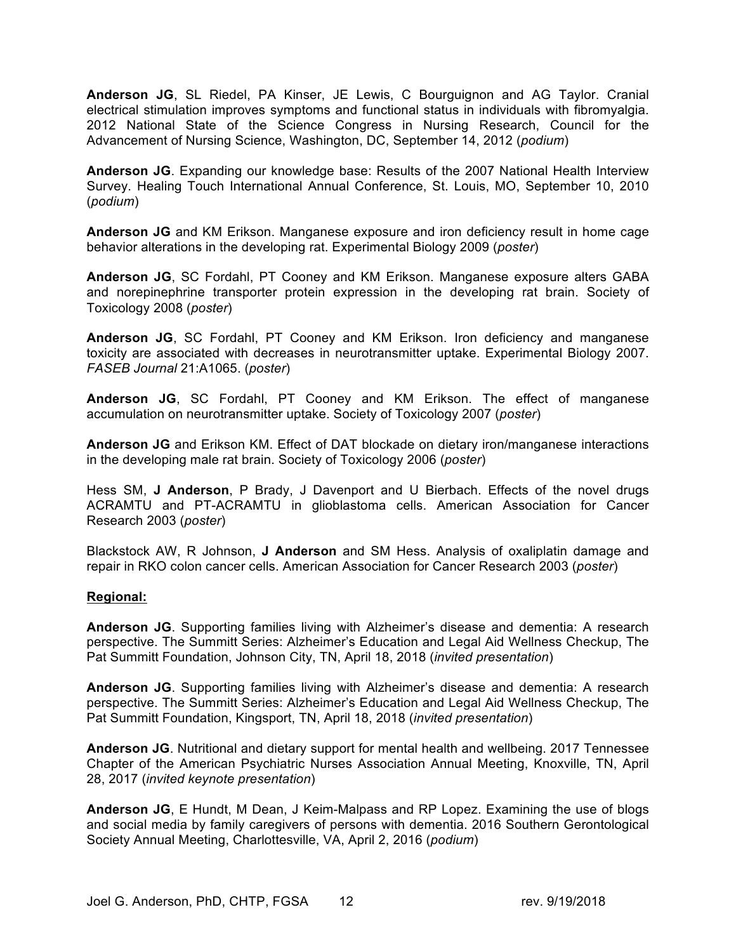**Anderson JG**, SL Riedel, PA Kinser, JE Lewis, C Bourguignon and AG Taylor. Cranial electrical stimulation improves symptoms and functional status in individuals with fibromyalgia. 2012 National State of the Science Congress in Nursing Research, Council for the Advancement of Nursing Science, Washington, DC, September 14, 2012 (*podium*)

**Anderson JG**. Expanding our knowledge base: Results of the 2007 National Health Interview Survey. Healing Touch International Annual Conference, St. Louis, MO, September 10, 2010 (*podium*)

**Anderson JG** and KM Erikson. Manganese exposure and iron deficiency result in home cage behavior alterations in the developing rat. Experimental Biology 2009 (*poster*)

**Anderson JG**, SC Fordahl, PT Cooney and KM Erikson. Manganese exposure alters GABA and norepinephrine transporter protein expression in the developing rat brain. Society of Toxicology 2008 (*poster*)

**Anderson JG**, SC Fordahl, PT Cooney and KM Erikson. Iron deficiency and manganese toxicity are associated with decreases in neurotransmitter uptake. Experimental Biology 2007. *FASEB Journal* 21:A1065. (*poster*)

**Anderson JG**, SC Fordahl, PT Cooney and KM Erikson. The effect of manganese accumulation on neurotransmitter uptake. Society of Toxicology 2007 (*poster*)

**Anderson JG** and Erikson KM. Effect of DAT blockade on dietary iron/manganese interactions in the developing male rat brain. Society of Toxicology 2006 (*poster*)

Hess SM, **J Anderson**, P Brady, J Davenport and U Bierbach. Effects of the novel drugs ACRAMTU and PT-ACRAMTU in glioblastoma cells. American Association for Cancer Research 2003 (*poster*)

Blackstock AW, R Johnson, **J Anderson** and SM Hess. Analysis of oxaliplatin damage and repair in RKO colon cancer cells. American Association for Cancer Research 2003 (*poster*)

#### **Regional:**

**Anderson JG**. Supporting families living with Alzheimer's disease and dementia: A research perspective. The Summitt Series: Alzheimer's Education and Legal Aid Wellness Checkup, The Pat Summitt Foundation, Johnson City, TN, April 18, 2018 (*invited presentation*)

**Anderson JG**. Supporting families living with Alzheimer's disease and dementia: A research perspective. The Summitt Series: Alzheimer's Education and Legal Aid Wellness Checkup, The Pat Summitt Foundation, Kingsport, TN, April 18, 2018 (*invited presentation*)

**Anderson JG**. Nutritional and dietary support for mental health and wellbeing. 2017 Tennessee Chapter of the American Psychiatric Nurses Association Annual Meeting, Knoxville, TN, April 28, 2017 (*invited keynote presentation*)

**Anderson JG**, E Hundt, M Dean, J Keim-Malpass and RP Lopez. Examining the use of blogs and social media by family caregivers of persons with dementia. 2016 Southern Gerontological Society Annual Meeting, Charlottesville, VA, April 2, 2016 (*podium*)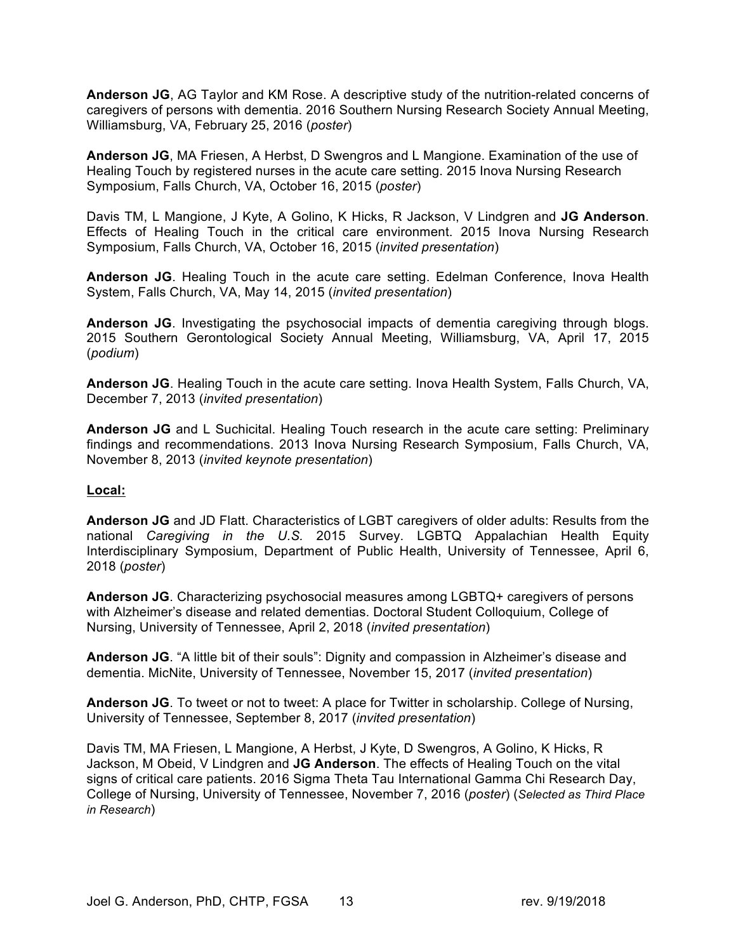**Anderson JG**, AG Taylor and KM Rose. A descriptive study of the nutrition-related concerns of caregivers of persons with dementia. 2016 Southern Nursing Research Society Annual Meeting, Williamsburg, VA, February 25, 2016 (*poster*)

**Anderson JG**, MA Friesen, A Herbst, D Swengros and L Mangione. Examination of the use of Healing Touch by registered nurses in the acute care setting. 2015 Inova Nursing Research Symposium, Falls Church, VA, October 16, 2015 (*poster*)

Davis TM, L Mangione, J Kyte, A Golino, K Hicks, R Jackson, V Lindgren and **JG Anderson**. Effects of Healing Touch in the critical care environment. 2015 Inova Nursing Research Symposium, Falls Church, VA, October 16, 2015 (*invited presentation*)

**Anderson JG**. Healing Touch in the acute care setting. Edelman Conference, Inova Health System, Falls Church, VA, May 14, 2015 (*invited presentation*)

**Anderson JG**. Investigating the psychosocial impacts of dementia caregiving through blogs. 2015 Southern Gerontological Society Annual Meeting, Williamsburg, VA, April 17, 2015 (*podium*)

**Anderson JG**. Healing Touch in the acute care setting. Inova Health System, Falls Church, VA, December 7, 2013 (*invited presentation*)

**Anderson JG** and L Suchicital. Healing Touch research in the acute care setting: Preliminary findings and recommendations. 2013 Inova Nursing Research Symposium, Falls Church, VA, November 8, 2013 (*invited keynote presentation*)

#### **Local:**

**Anderson JG** and JD Flatt. Characteristics of LGBT caregivers of older adults: Results from the national *Caregiving in the U.S.* 2015 Survey. LGBTQ Appalachian Health Equity Interdisciplinary Symposium, Department of Public Health, University of Tennessee, April 6, 2018 (*poster*)

**Anderson JG**. Characterizing psychosocial measures among LGBTQ+ caregivers of persons with Alzheimer's disease and related dementias. Doctoral Student Colloquium, College of Nursing, University of Tennessee, April 2, 2018 (*invited presentation*)

**Anderson JG**. "A little bit of their souls": Dignity and compassion in Alzheimer's disease and dementia. MicNite, University of Tennessee, November 15, 2017 (*invited presentation*)

**Anderson JG**. To tweet or not to tweet: A place for Twitter in scholarship. College of Nursing, University of Tennessee, September 8, 2017 (*invited presentation*)

Davis TM, MA Friesen, L Mangione, A Herbst, J Kyte, D Swengros, A Golino, K Hicks, R Jackson, M Obeid, V Lindgren and **JG Anderson**. The effects of Healing Touch on the vital signs of critical care patients. 2016 Sigma Theta Tau International Gamma Chi Research Day, College of Nursing, University of Tennessee, November 7, 2016 (*poster*) (*Selected as Third Place in Research*)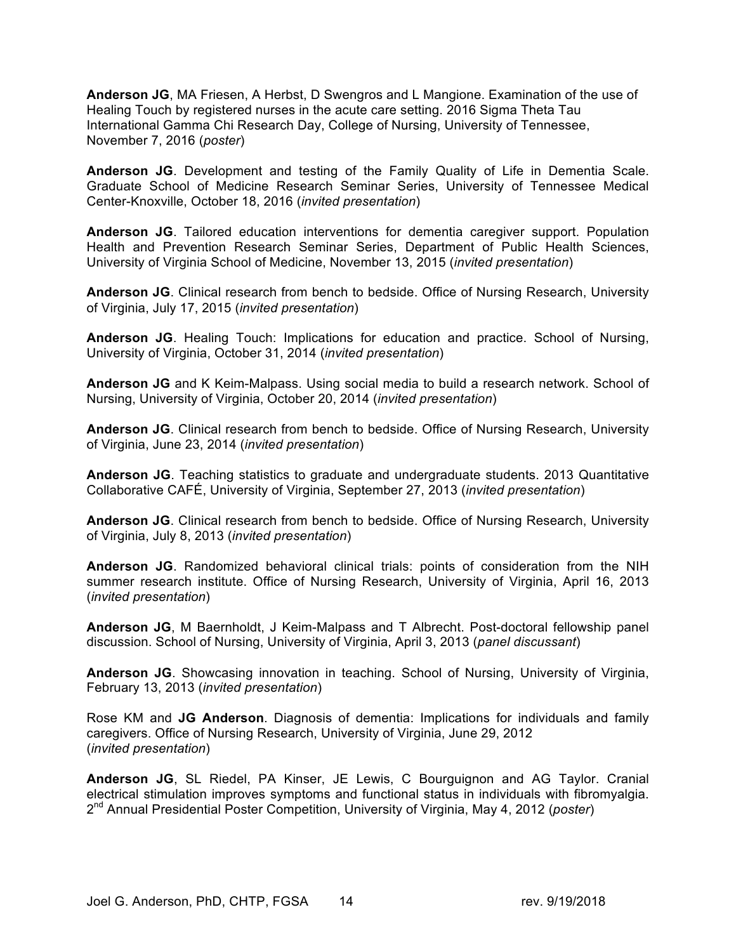**Anderson JG**, MA Friesen, A Herbst, D Swengros and L Mangione. Examination of the use of Healing Touch by registered nurses in the acute care setting. 2016 Sigma Theta Tau International Gamma Chi Research Day, College of Nursing, University of Tennessee, November 7, 2016 (*poster*)

**Anderson JG**. Development and testing of the Family Quality of Life in Dementia Scale. Graduate School of Medicine Research Seminar Series, University of Tennessee Medical Center-Knoxville, October 18, 2016 (*invited presentation*)

**Anderson JG**. Tailored education interventions for dementia caregiver support. Population Health and Prevention Research Seminar Series, Department of Public Health Sciences, University of Virginia School of Medicine, November 13, 2015 (*invited presentation*)

**Anderson JG**. Clinical research from bench to bedside. Office of Nursing Research, University of Virginia, July 17, 2015 (*invited presentation*)

**Anderson JG**. Healing Touch: Implications for education and practice. School of Nursing, University of Virginia, October 31, 2014 (*invited presentation*)

**Anderson JG** and K Keim-Malpass. Using social media to build a research network. School of Nursing, University of Virginia, October 20, 2014 (*invited presentation*)

**Anderson JG**. Clinical research from bench to bedside. Office of Nursing Research, University of Virginia, June 23, 2014 (*invited presentation*)

**Anderson JG**. Teaching statistics to graduate and undergraduate students. 2013 Quantitative Collaborative CAFÉ, University of Virginia, September 27, 2013 (*invited presentation*)

**Anderson JG**. Clinical research from bench to bedside. Office of Nursing Research, University of Virginia, July 8, 2013 (*invited presentation*)

Anderson JG. Randomized behavioral clinical trials: points of consideration from the NIH summer research institute. Office of Nursing Research, University of Virginia, April 16, 2013 (*invited presentation*)

**Anderson JG**, M Baernholdt, J Keim-Malpass and T Albrecht. Post-doctoral fellowship panel discussion. School of Nursing, University of Virginia, April 3, 2013 (*panel discussant*)

**Anderson JG**. Showcasing innovation in teaching. School of Nursing, University of Virginia, February 13, 2013 (*invited presentation*)

Rose KM and **JG Anderson**. Diagnosis of dementia: Implications for individuals and family caregivers. Office of Nursing Research, University of Virginia, June 29, 2012 (*invited presentation*)

**Anderson JG**, SL Riedel, PA Kinser, JE Lewis, C Bourguignon and AG Taylor. Cranial electrical stimulation improves symptoms and functional status in individuals with fibromyalgia. 2nd Annual Presidential Poster Competition, University of Virginia, May 4, 2012 (*poster*)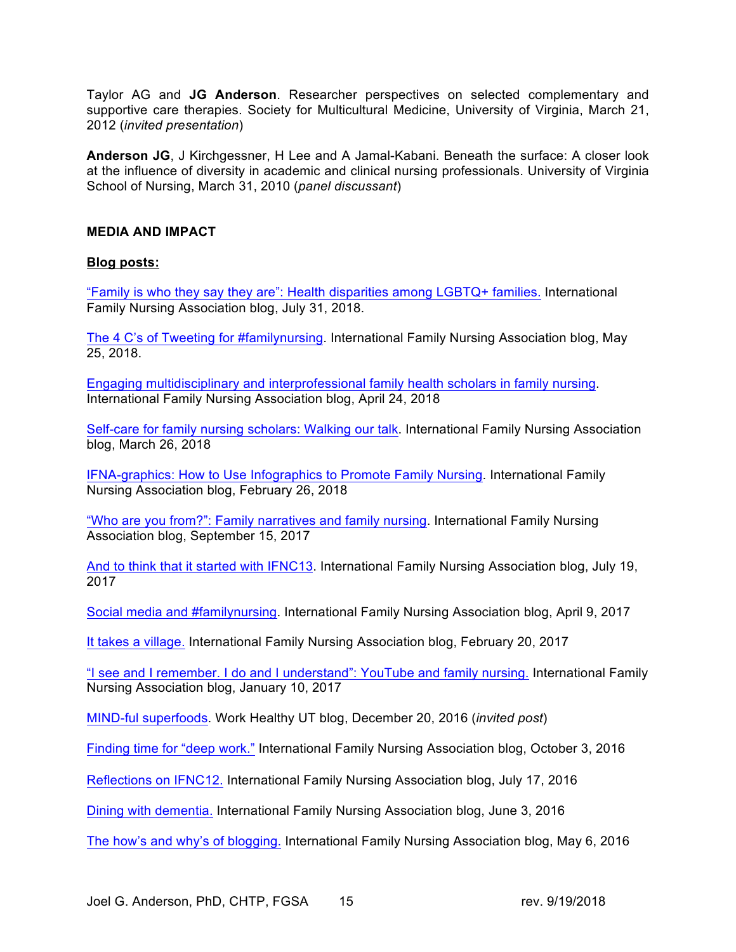Taylor AG and **JG Anderson**. Researcher perspectives on selected complementary and supportive care therapies. Society for Multicultural Medicine, University of Virginia, March 21, 2012 (*invited presentation*)

**Anderson JG**, J Kirchgessner, H Lee and A Jamal-Kabani. Beneath the surface: A closer look at the influence of diversity in academic and clinical nursing professionals. University of Virginia School of Nursing, March 31, 2010 (*panel discussant*)

### **MEDIA AND IMPACT**

#### **Blog posts:**

"Family is who they say they are": Health disparities among LGBTQ+ families. International Family Nursing Association blog, July 31, 2018.

The 4 C's of Tweeting for #familynursing. International Family Nursing Association blog, May 25, 2018.

Engaging multidisciplinary and interprofessional family health scholars in family nursing. International Family Nursing Association blog, April 24, 2018

Self-care for family nursing scholars: Walking our talk. International Family Nursing Association blog, March 26, 2018

IFNA-graphics: How to Use Infographics to Promote Family Nursing. International Family Nursing Association blog, February 26, 2018

"Who are you from?": Family narratives and family nursing. International Family Nursing Association blog, September 15, 2017

And to think that it started with IFNC13. International Family Nursing Association blog, July 19, 2017

Social media and #familynursing. International Family Nursing Association blog, April 9, 2017

It takes a village. International Family Nursing Association blog, February 20, 2017

"I see and I remember. I do and I understand": YouTube and family nursing. International Family Nursing Association blog, January 10, 2017

MIND-ful superfoods. Work Healthy UT blog, December 20, 2016 (*invited post*)

Finding time for "deep work." International Family Nursing Association blog, October 3, 2016

Reflections on IFNC12. International Family Nursing Association blog, July 17, 2016

Dining with dementia. International Family Nursing Association blog, June 3, 2016

The how's and why's of blogging. International Family Nursing Association blog, May 6, 2016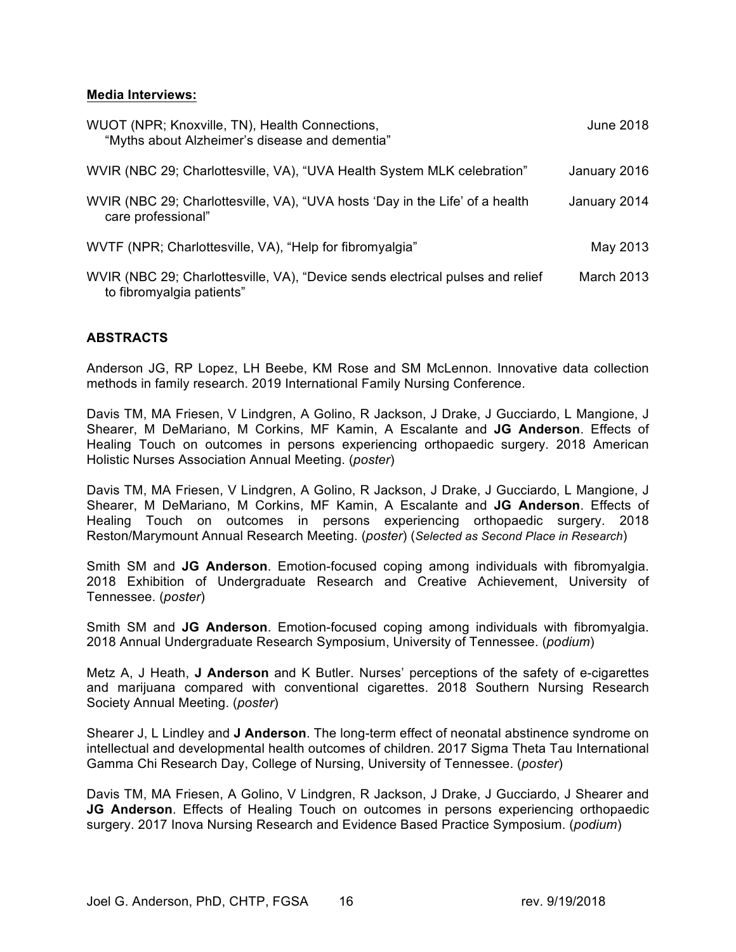#### **Media Interviews:**

| WUOT (NPR; Knoxville, TN), Health Connections,<br>"Myths about Alzheimer's disease and dementia"            | June 2018    |
|-------------------------------------------------------------------------------------------------------------|--------------|
| WVIR (NBC 29; Charlottesville, VA), "UVA Health System MLK celebration"                                     | January 2016 |
| WVIR (NBC 29; Charlottesville, VA), "UVA hosts 'Day in the Life' of a health<br>care professional"          | January 2014 |
| WVTF (NPR; Charlottesville, VA), "Help for fibromyalgia"                                                    | May 2013     |
| WVIR (NBC 29; Charlottesville, VA), "Device sends electrical pulses and relief<br>to fibromyalgia patients" | March 2013   |

## **ABSTRACTS**

Anderson JG, RP Lopez, LH Beebe, KM Rose and SM McLennon. Innovative data collection methods in family research. 2019 International Family Nursing Conference.

Davis TM, MA Friesen, V Lindgren, A Golino, R Jackson, J Drake, J Gucciardo, L Mangione, J Shearer, M DeMariano, M Corkins, MF Kamin, A Escalante and **JG Anderson**. Effects of Healing Touch on outcomes in persons experiencing orthopaedic surgery. 2018 American Holistic Nurses Association Annual Meeting. (*poster*)

Davis TM, MA Friesen, V Lindgren, A Golino, R Jackson, J Drake, J Gucciardo, L Mangione, J Shearer, M DeMariano, M Corkins, MF Kamin, A Escalante and **JG Anderson**. Effects of Healing Touch on outcomes in persons experiencing orthopaedic surgery. 2018 Reston/Marymount Annual Research Meeting. (*poster*) (*Selected as Second Place in Research*)

Smith SM and **JG Anderson**. Emotion-focused coping among individuals with fibromyalgia. 2018 Exhibition of Undergraduate Research and Creative Achievement, University of Tennessee. (*poster*)

Smith SM and **JG Anderson**. Emotion-focused coping among individuals with fibromyalgia. 2018 Annual Undergraduate Research Symposium, University of Tennessee. (*podium*)

Metz A, J Heath, **J Anderson** and K Butler. Nurses' perceptions of the safety of e-cigarettes and marijuana compared with conventional cigarettes. 2018 Southern Nursing Research Society Annual Meeting. (*poster*)

Shearer J, L Lindley and **J Anderson**. The long-term effect of neonatal abstinence syndrome on intellectual and developmental health outcomes of children. 2017 Sigma Theta Tau International Gamma Chi Research Day, College of Nursing, University of Tennessee. (*poster*)

Davis TM, MA Friesen, A Golino, V Lindgren, R Jackson, J Drake, J Gucciardo, J Shearer and **JG Anderson**. Effects of Healing Touch on outcomes in persons experiencing orthopaedic surgery. 2017 Inova Nursing Research and Evidence Based Practice Symposium. (*podium*)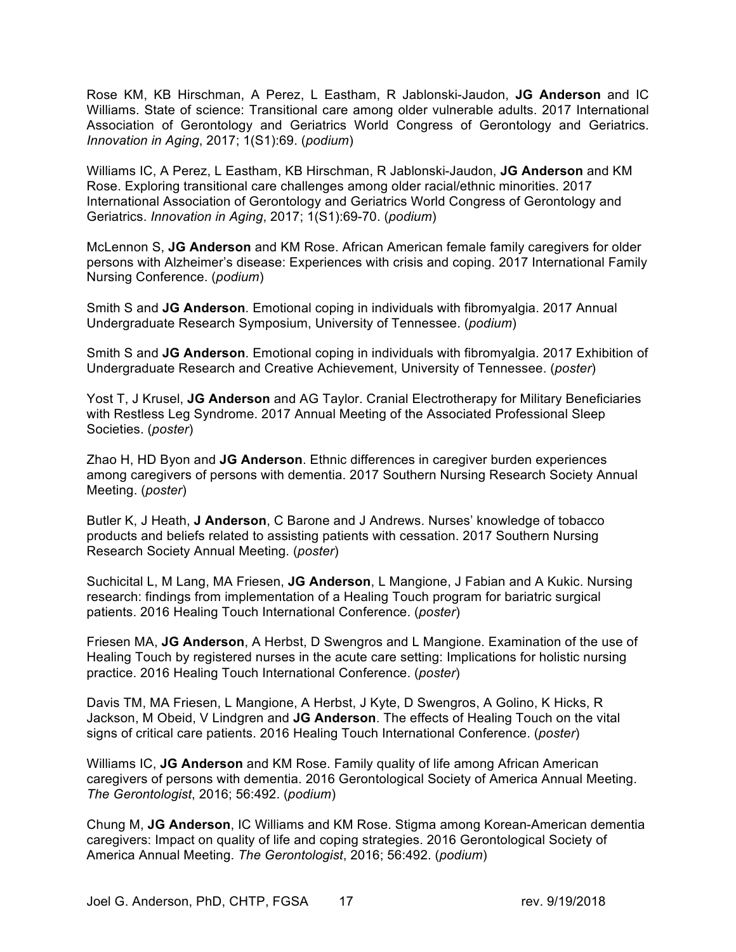Rose KM, KB Hirschman, A Perez, L Eastham, R Jablonski-Jaudon, **JG Anderson** and IC Williams. State of science: Transitional care among older vulnerable adults. 2017 International Association of Gerontology and Geriatrics World Congress of Gerontology and Geriatrics. *Innovation in Aging*, 2017; 1(S1):69. (*podium*)

Williams IC, A Perez, L Eastham, KB Hirschman, R Jablonski-Jaudon, **JG Anderson** and KM Rose. Exploring transitional care challenges among older racial/ethnic minorities. 2017 International Association of Gerontology and Geriatrics World Congress of Gerontology and Geriatrics. *Innovation in Aging*, 2017; 1(S1):69-70. (*podium*)

McLennon S, **JG Anderson** and KM Rose. African American female family caregivers for older persons with Alzheimer's disease: Experiences with crisis and coping. 2017 International Family Nursing Conference. (*podium*)

Smith S and **JG Anderson**. Emotional coping in individuals with fibromyalgia. 2017 Annual Undergraduate Research Symposium, University of Tennessee. (*podium*)

Smith S and **JG Anderson**. Emotional coping in individuals with fibromyalgia. 2017 Exhibition of Undergraduate Research and Creative Achievement, University of Tennessee. (*poster*)

Yost T, J Krusel, **JG Anderson** and AG Taylor. Cranial Electrotherapy for Military Beneficiaries with Restless Leg Syndrome. 2017 Annual Meeting of the Associated Professional Sleep Societies. (*poster*)

Zhao H, HD Byon and **JG Anderson**. Ethnic differences in caregiver burden experiences among caregivers of persons with dementia. 2017 Southern Nursing Research Society Annual Meeting. (*poster*)

Butler K, J Heath, **J Anderson**, C Barone and J Andrews. Nurses' knowledge of tobacco products and beliefs related to assisting patients with cessation. 2017 Southern Nursing Research Society Annual Meeting. (*poster*)

Suchicital L, M Lang, MA Friesen, **JG Anderson**, L Mangione, J Fabian and A Kukic. Nursing research: findings from implementation of a Healing Touch program for bariatric surgical patients. 2016 Healing Touch International Conference. (*poster*)

Friesen MA, **JG Anderson**, A Herbst, D Swengros and L Mangione. Examination of the use of Healing Touch by registered nurses in the acute care setting: Implications for holistic nursing practice. 2016 Healing Touch International Conference. (*poster*)

Davis TM, MA Friesen, L Mangione, A Herbst, J Kyte, D Swengros, A Golino, K Hicks, R Jackson, M Obeid, V Lindgren and **JG Anderson**. The effects of Healing Touch on the vital signs of critical care patients. 2016 Healing Touch International Conference. (*poster*)

Williams IC, **JG Anderson** and KM Rose. Family quality of life among African American caregivers of persons with dementia. 2016 Gerontological Society of America Annual Meeting. *The Gerontologist*, 2016; 56:492. (*podium*)

Chung M, **JG Anderson**, IC Williams and KM Rose. Stigma among Korean-American dementia caregivers: Impact on quality of life and coping strategies. 2016 Gerontological Society of America Annual Meeting. *The Gerontologist*, 2016; 56:492. (*podium*)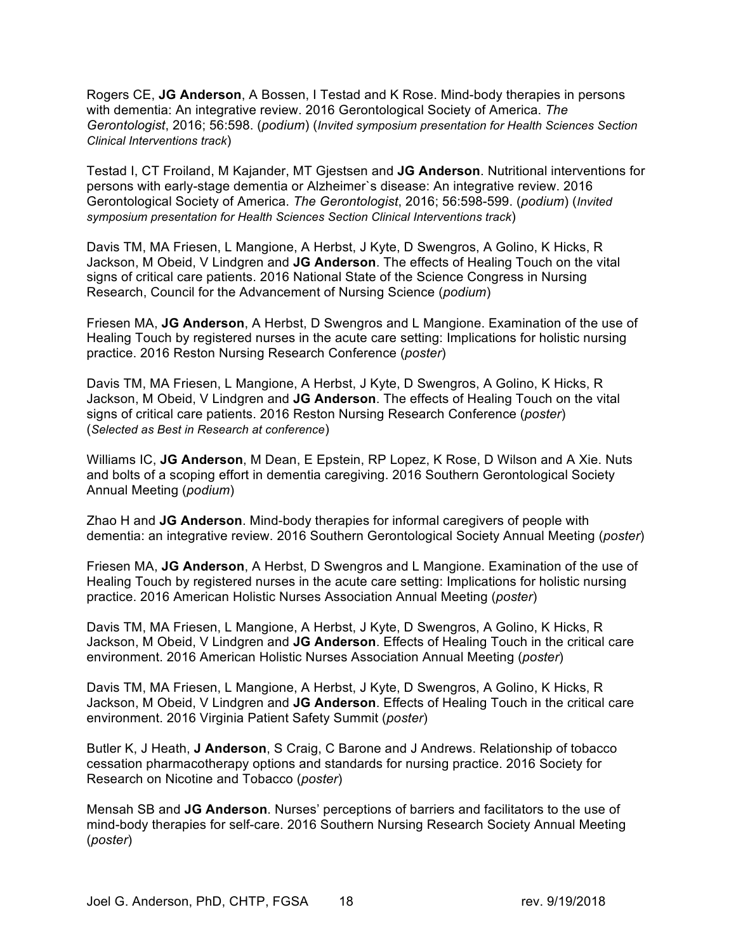Rogers CE, **JG Anderson**, A Bossen, I Testad and K Rose. Mind-body therapies in persons with dementia: An integrative review. 2016 Gerontological Society of America. *The Gerontologist*, 2016; 56:598. (*podium*) (*Invited symposium presentation for Health Sciences Section Clinical Interventions track*)

Testad I, CT Froiland, M Kajander, MT Gjestsen and **JG Anderson**. Nutritional interventions for persons with early-stage dementia or Alzheimer`s disease: An integrative review. 2016 Gerontological Society of America. *The Gerontologist*, 2016; 56:598-599. (*podium*) (*Invited symposium presentation for Health Sciences Section Clinical Interventions track*)

Davis TM, MA Friesen, L Mangione, A Herbst, J Kyte, D Swengros, A Golino, K Hicks, R Jackson, M Obeid, V Lindgren and **JG Anderson**. The effects of Healing Touch on the vital signs of critical care patients. 2016 National State of the Science Congress in Nursing Research, Council for the Advancement of Nursing Science (*podium*)

Friesen MA, **JG Anderson**, A Herbst, D Swengros and L Mangione. Examination of the use of Healing Touch by registered nurses in the acute care setting: Implications for holistic nursing practice. 2016 Reston Nursing Research Conference (*poster*)

Davis TM, MA Friesen, L Mangione, A Herbst, J Kyte, D Swengros, A Golino, K Hicks, R Jackson, M Obeid, V Lindgren and **JG Anderson**. The effects of Healing Touch on the vital signs of critical care patients. 2016 Reston Nursing Research Conference (*poster*) (*Selected as Best in Research at conference*)

Williams IC, **JG Anderson**, M Dean, E Epstein, RP Lopez, K Rose, D Wilson and A Xie. Nuts and bolts of a scoping effort in dementia caregiving. 2016 Southern Gerontological Society Annual Meeting (*podium*)

Zhao H and **JG Anderson**. Mind-body therapies for informal caregivers of people with dementia: an integrative review. 2016 Southern Gerontological Society Annual Meeting (*poster*)

Friesen MA, **JG Anderson**, A Herbst, D Swengros and L Mangione. Examination of the use of Healing Touch by registered nurses in the acute care setting: Implications for holistic nursing practice. 2016 American Holistic Nurses Association Annual Meeting (*poster*)

Davis TM, MA Friesen, L Mangione, A Herbst, J Kyte, D Swengros, A Golino, K Hicks, R Jackson, M Obeid, V Lindgren and **JG Anderson**. Effects of Healing Touch in the critical care environment. 2016 American Holistic Nurses Association Annual Meeting (*poster*)

Davis TM, MA Friesen, L Mangione, A Herbst, J Kyte, D Swengros, A Golino, K Hicks, R Jackson, M Obeid, V Lindgren and **JG Anderson**. Effects of Healing Touch in the critical care environment. 2016 Virginia Patient Safety Summit (*poster*)

Butler K, J Heath, **J Anderson**, S Craig, C Barone and J Andrews. Relationship of tobacco cessation pharmacotherapy options and standards for nursing practice. 2016 Society for Research on Nicotine and Tobacco (*poster*)

Mensah SB and **JG Anderson**. Nurses' perceptions of barriers and facilitators to the use of mind-body therapies for self-care. 2016 Southern Nursing Research Society Annual Meeting (*poster*)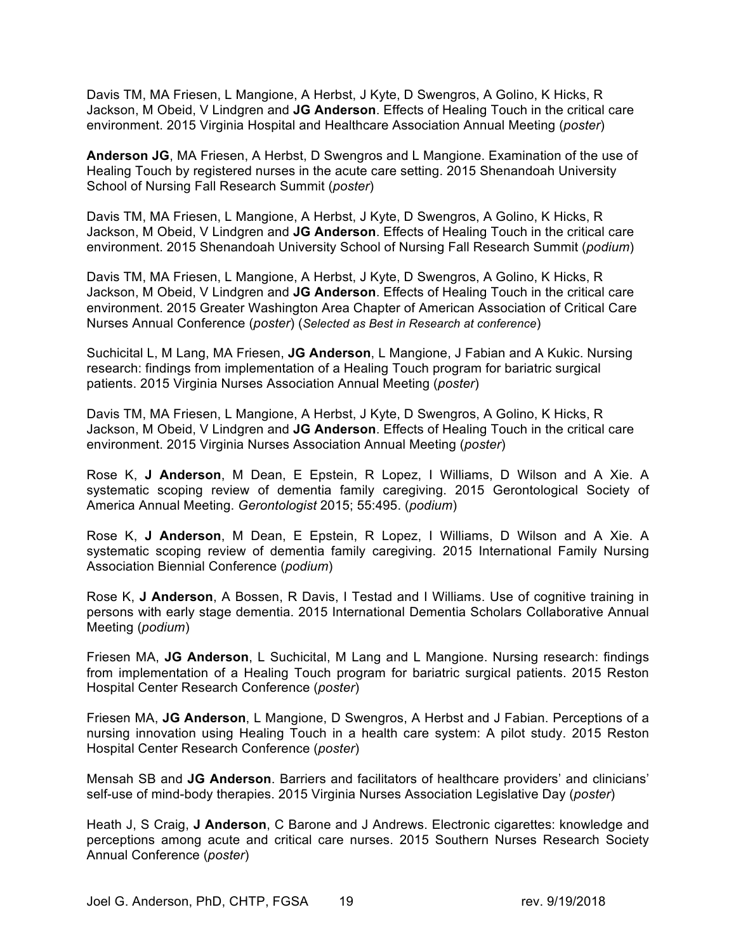Davis TM, MA Friesen, L Mangione, A Herbst, J Kyte, D Swengros, A Golino, K Hicks, R Jackson, M Obeid, V Lindgren and **JG Anderson**. Effects of Healing Touch in the critical care environment. 2015 Virginia Hospital and Healthcare Association Annual Meeting (*poster*)

**Anderson JG**, MA Friesen, A Herbst, D Swengros and L Mangione. Examination of the use of Healing Touch by registered nurses in the acute care setting. 2015 Shenandoah University School of Nursing Fall Research Summit (*poster*)

Davis TM, MA Friesen, L Mangione, A Herbst, J Kyte, D Swengros, A Golino, K Hicks, R Jackson, M Obeid, V Lindgren and **JG Anderson**. Effects of Healing Touch in the critical care environment. 2015 Shenandoah University School of Nursing Fall Research Summit (*podium*)

Davis TM, MA Friesen, L Mangione, A Herbst, J Kyte, D Swengros, A Golino, K Hicks, R Jackson, M Obeid, V Lindgren and **JG Anderson**. Effects of Healing Touch in the critical care environment. 2015 Greater Washington Area Chapter of American Association of Critical Care Nurses Annual Conference (*poster*) (*Selected as Best in Research at conference*)

Suchicital L, M Lang, MA Friesen, **JG Anderson**, L Mangione, J Fabian and A Kukic. Nursing research: findings from implementation of a Healing Touch program for bariatric surgical patients. 2015 Virginia Nurses Association Annual Meeting (*poster*)

Davis TM, MA Friesen, L Mangione, A Herbst, J Kyte, D Swengros, A Golino, K Hicks, R Jackson, M Obeid, V Lindgren and **JG Anderson**. Effects of Healing Touch in the critical care environment. 2015 Virginia Nurses Association Annual Meeting (*poster*)

Rose K, **J Anderson**, M Dean, E Epstein, R Lopez, I Williams, D Wilson and A Xie. A systematic scoping review of dementia family caregiving. 2015 Gerontological Society of America Annual Meeting. *Gerontologist* 2015; 55:495. (*podium*)

Rose K, **J Anderson**, M Dean, E Epstein, R Lopez, I Williams, D Wilson and A Xie. A systematic scoping review of dementia family caregiving. 2015 International Family Nursing Association Biennial Conference (*podium*)

Rose K, **J Anderson**, A Bossen, R Davis, I Testad and I Williams. Use of cognitive training in persons with early stage dementia. 2015 International Dementia Scholars Collaborative Annual Meeting (*podium*)

Friesen MA, **JG Anderson**, L Suchicital, M Lang and L Mangione. Nursing research: findings from implementation of a Healing Touch program for bariatric surgical patients. 2015 Reston Hospital Center Research Conference (*poster*)

Friesen MA, **JG Anderson**, L Mangione, D Swengros, A Herbst and J Fabian. Perceptions of a nursing innovation using Healing Touch in a health care system: A pilot study. 2015 Reston Hospital Center Research Conference (*poster*)

Mensah SB and **JG Anderson**. Barriers and facilitators of healthcare providers' and clinicians' self-use of mind-body therapies. 2015 Virginia Nurses Association Legislative Day (*poster*)

Heath J, S Craig, **J Anderson**, C Barone and J Andrews. Electronic cigarettes: knowledge and perceptions among acute and critical care nurses. 2015 Southern Nurses Research Society Annual Conference (*poster*)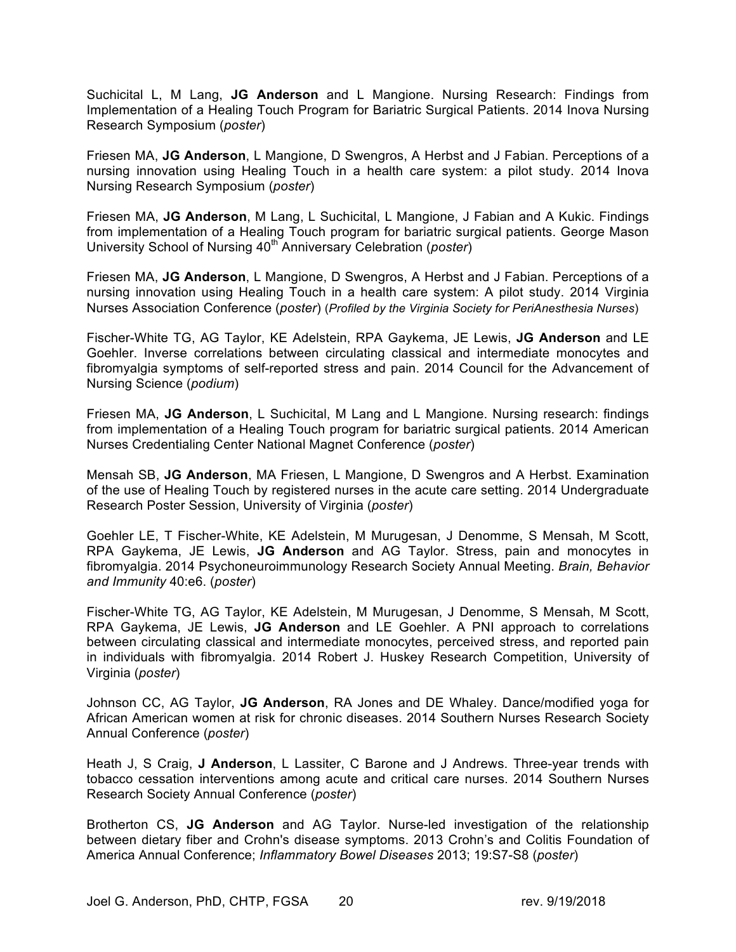Suchicital L, M Lang, **JG Anderson** and L Mangione. Nursing Research: Findings from Implementation of a Healing Touch Program for Bariatric Surgical Patients. 2014 Inova Nursing Research Symposium (*poster*)

Friesen MA, **JG Anderson**, L Mangione, D Swengros, A Herbst and J Fabian. Perceptions of a nursing innovation using Healing Touch in a health care system: a pilot study. 2014 Inova Nursing Research Symposium (*poster*)

Friesen MA, **JG Anderson**, M Lang, L Suchicital, L Mangione, J Fabian and A Kukic. Findings from implementation of a Healing Touch program for bariatric surgical patients. George Mason University School of Nursing 40th Anniversary Celebration (*poster*)

Friesen MA, **JG Anderson**, L Mangione, D Swengros, A Herbst and J Fabian. Perceptions of a nursing innovation using Healing Touch in a health care system: A pilot study. 2014 Virginia Nurses Association Conference (*poster*) (*Profiled by the Virginia Society for PeriAnesthesia Nurses*)

Fischer-White TG, AG Taylor, KE Adelstein, RPA Gaykema, JE Lewis, **JG Anderson** and LE Goehler. Inverse correlations between circulating classical and intermediate monocytes and fibromyalgia symptoms of self-reported stress and pain. 2014 Council for the Advancement of Nursing Science (*podium*)

Friesen MA, **JG Anderson**, L Suchicital, M Lang and L Mangione. Nursing research: findings from implementation of a Healing Touch program for bariatric surgical patients. 2014 American Nurses Credentialing Center National Magnet Conference (*poster*)

Mensah SB, **JG Anderson**, MA Friesen, L Mangione, D Swengros and A Herbst. Examination of the use of Healing Touch by registered nurses in the acute care setting. 2014 Undergraduate Research Poster Session, University of Virginia (*poster*)

Goehler LE, T Fischer-White, KE Adelstein, M Murugesan, J Denomme, S Mensah, M Scott, RPA Gaykema, JE Lewis, **JG Anderson** and AG Taylor. Stress, pain and monocytes in fibromyalgia. 2014 Psychoneuroimmunology Research Society Annual Meeting. *Brain, Behavior and Immunity* 40:e6. (*poster*)

Fischer-White TG, AG Taylor, KE Adelstein, M Murugesan, J Denomme, S Mensah, M Scott, RPA Gaykema, JE Lewis, **JG Anderson** and LE Goehler. A PNI approach to correlations between circulating classical and intermediate monocytes, perceived stress, and reported pain in individuals with fibromyalgia. 2014 Robert J. Huskey Research Competition, University of Virginia (*poster*)

Johnson CC, AG Taylor, **JG Anderson**, RA Jones and DE Whaley. Dance/modified yoga for African American women at risk for chronic diseases. 2014 Southern Nurses Research Society Annual Conference (*poster*)

Heath J, S Craig, **J Anderson**, L Lassiter, C Barone and J Andrews. Three-year trends with tobacco cessation interventions among acute and critical care nurses. 2014 Southern Nurses Research Society Annual Conference (*poster*)

Brotherton CS, **JG Anderson** and AG Taylor. Nurse-led investigation of the relationship between dietary fiber and Crohn's disease symptoms. 2013 Crohn's and Colitis Foundation of America Annual Conference; *Inflammatory Bowel Diseases* 2013; 19:S7-S8 (*poster*)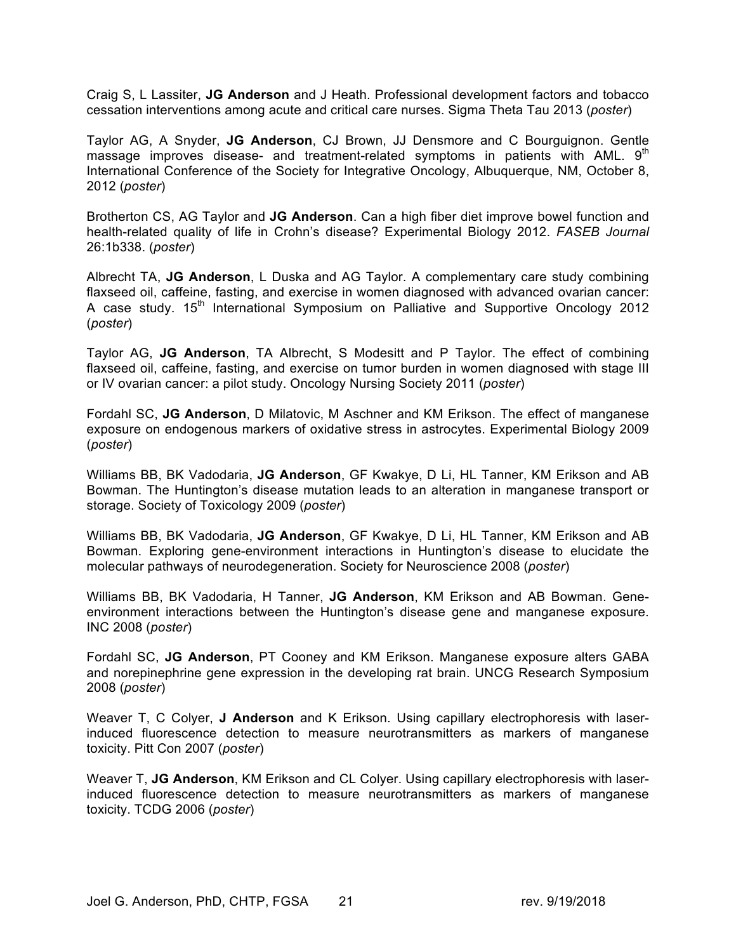Craig S, L Lassiter, **JG Anderson** and J Heath. Professional development factors and tobacco cessation interventions among acute and critical care nurses. Sigma Theta Tau 2013 (*poster*)

Taylor AG, A Snyder, **JG Anderson**, CJ Brown, JJ Densmore and C Bourguignon. Gentle massage improves disease- and treatment-related symptoms in patients with AML.  $9<sup>th</sup>$ International Conference of the Society for Integrative Oncology, Albuquerque, NM, October 8, 2012 (*poster*)

Brotherton CS, AG Taylor and **JG Anderson**. Can a high fiber diet improve bowel function and health-related quality of life in Crohn's disease? Experimental Biology 2012. *FASEB Journal* 26:1b338. (*poster*)

Albrecht TA, **JG Anderson**, L Duska and AG Taylor. A complementary care study combining flaxseed oil, caffeine, fasting, and exercise in women diagnosed with advanced ovarian cancer: A case study. 15<sup>th</sup> International Symposium on Palliative and Supportive Oncology 2012 (*poster*)

Taylor AG, **JG Anderson**, TA Albrecht, S Modesitt and P Taylor. The effect of combining flaxseed oil, caffeine, fasting, and exercise on tumor burden in women diagnosed with stage III or IV ovarian cancer: a pilot study. Oncology Nursing Society 2011 (*poster*)

Fordahl SC, **JG Anderson**, D Milatovic, M Aschner and KM Erikson. The effect of manganese exposure on endogenous markers of oxidative stress in astrocytes. Experimental Biology 2009 (*poster*)

Williams BB, BK Vadodaria, **JG Anderson**, GF Kwakye, D Li, HL Tanner, KM Erikson and AB Bowman. The Huntington's disease mutation leads to an alteration in manganese transport or storage. Society of Toxicology 2009 (*poster*)

Williams BB, BK Vadodaria, **JG Anderson**, GF Kwakye, D Li, HL Tanner, KM Erikson and AB Bowman. Exploring gene-environment interactions in Huntington's disease to elucidate the molecular pathways of neurodegeneration. Society for Neuroscience 2008 (*poster*)

Williams BB, BK Vadodaria, H Tanner, **JG Anderson**, KM Erikson and AB Bowman. Geneenvironment interactions between the Huntington's disease gene and manganese exposure. INC 2008 (*poster*)

Fordahl SC, **JG Anderson**, PT Cooney and KM Erikson. Manganese exposure alters GABA and norepinephrine gene expression in the developing rat brain. UNCG Research Symposium 2008 (*poster*)

Weaver T, C Colyer, **J Anderson** and K Erikson. Using capillary electrophoresis with laserinduced fluorescence detection to measure neurotransmitters as markers of manganese toxicity. Pitt Con 2007 (*poster*)

Weaver T, **JG Anderson**, KM Erikson and CL Colyer. Using capillary electrophoresis with laserinduced fluorescence detection to measure neurotransmitters as markers of manganese toxicity. TCDG 2006 (*poster*)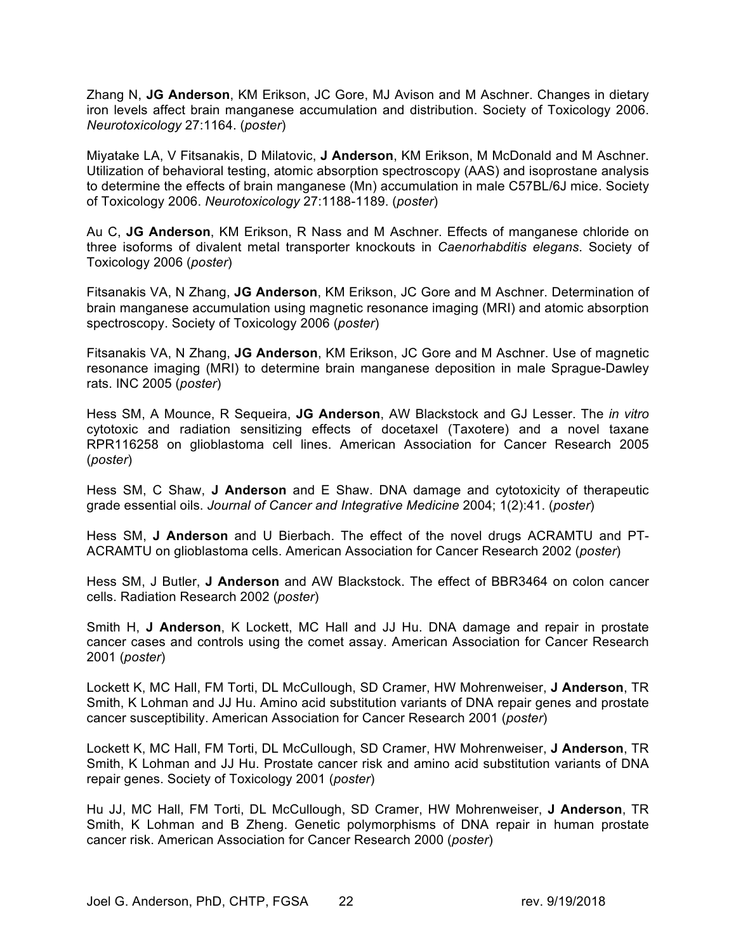Zhang N, **JG Anderson**, KM Erikson, JC Gore, MJ Avison and M Aschner. Changes in dietary iron levels affect brain manganese accumulation and distribution. Society of Toxicology 2006. *Neurotoxicology* 27:1164. (*poster*)

Miyatake LA, V Fitsanakis, D Milatovic, **J Anderson**, KM Erikson, M McDonald and M Aschner. Utilization of behavioral testing, atomic absorption spectroscopy (AAS) and isoprostane analysis to determine the effects of brain manganese (Mn) accumulation in male C57BL/6J mice. Society of Toxicology 2006. *Neurotoxicology* 27:1188-1189. (*poster*)

Au C, **JG Anderson**, KM Erikson, R Nass and M Aschner. Effects of manganese chloride on three isoforms of divalent metal transporter knockouts in *Caenorhabditis elegans*. Society of Toxicology 2006 (*poster*)

Fitsanakis VA, N Zhang, **JG Anderson**, KM Erikson, JC Gore and M Aschner. Determination of brain manganese accumulation using magnetic resonance imaging (MRI) and atomic absorption spectroscopy. Society of Toxicology 2006 (*poster*)

Fitsanakis VA, N Zhang, **JG Anderson**, KM Erikson, JC Gore and M Aschner. Use of magnetic resonance imaging (MRI) to determine brain manganese deposition in male Sprague-Dawley rats. INC 2005 (*poster*)

Hess SM, A Mounce, R Sequeira, **JG Anderson**, AW Blackstock and GJ Lesser. The *in vitro* cytotoxic and radiation sensitizing effects of docetaxel (Taxotere) and a novel taxane RPR116258 on glioblastoma cell lines. American Association for Cancer Research 2005 (*poster*)

Hess SM, C Shaw, **J Anderson** and E Shaw. DNA damage and cytotoxicity of therapeutic grade essential oils. *Journal of Cancer and Integrative Medicine* 2004; 1(2):41. (*poster*)

Hess SM, **J Anderson** and U Bierbach. The effect of the novel drugs ACRAMTU and PT-ACRAMTU on glioblastoma cells. American Association for Cancer Research 2002 (*poster*)

Hess SM, J Butler, **J Anderson** and AW Blackstock. The effect of BBR3464 on colon cancer cells. Radiation Research 2002 (*poster*)

Smith H, **J Anderson**, K Lockett, MC Hall and JJ Hu. DNA damage and repair in prostate cancer cases and controls using the comet assay. American Association for Cancer Research 2001 (*poster*)

Lockett K, MC Hall, FM Torti, DL McCullough, SD Cramer, HW Mohrenweiser, **J Anderson**, TR Smith, K Lohman and JJ Hu. Amino acid substitution variants of DNA repair genes and prostate cancer susceptibility. American Association for Cancer Research 2001 (*poster*)

Lockett K, MC Hall, FM Torti, DL McCullough, SD Cramer, HW Mohrenweiser, **J Anderson**, TR Smith, K Lohman and JJ Hu. Prostate cancer risk and amino acid substitution variants of DNA repair genes. Society of Toxicology 2001 (*poster*)

Hu JJ, MC Hall, FM Torti, DL McCullough, SD Cramer, HW Mohrenweiser, **J Anderson**, TR Smith, K Lohman and B Zheng. Genetic polymorphisms of DNA repair in human prostate cancer risk. American Association for Cancer Research 2000 (*poster*)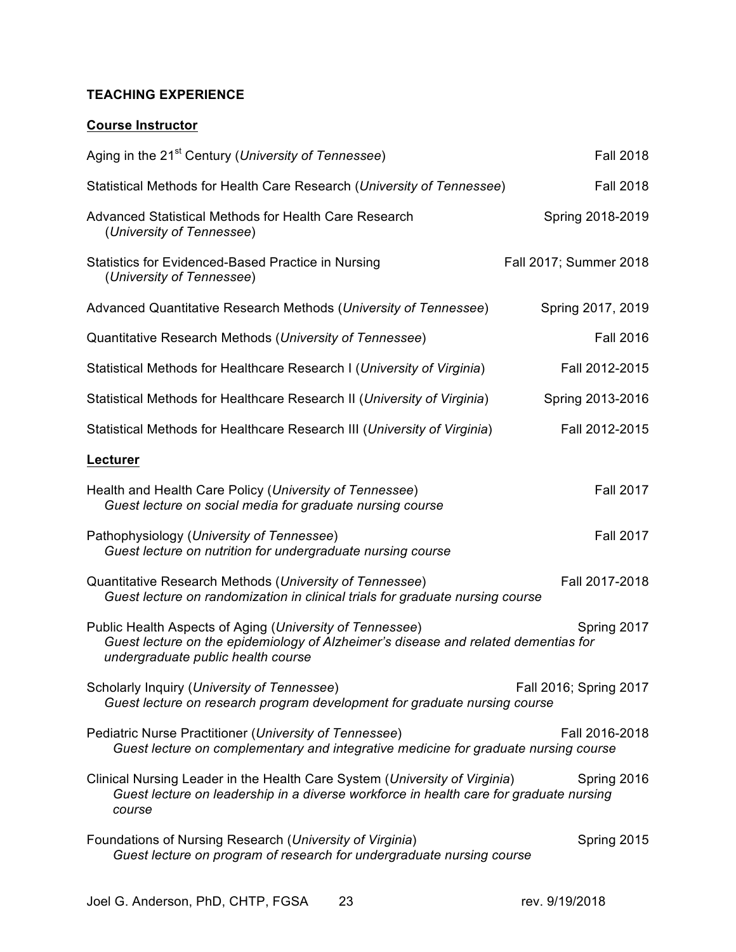# **TEACHING EXPERIENCE**

# **Course Instructor**

| Aging in the 21 <sup>st</sup> Century ( <i>University of Tennessee</i> )                                                                                                             | <b>Fall 2018</b>       |
|--------------------------------------------------------------------------------------------------------------------------------------------------------------------------------------|------------------------|
| Statistical Methods for Health Care Research (University of Tennessee)                                                                                                               | <b>Fall 2018</b>       |
| Advanced Statistical Methods for Health Care Research<br>(University of Tennessee)                                                                                                   | Spring 2018-2019       |
| Statistics for Evidenced-Based Practice in Nursing<br>(University of Tennessee)                                                                                                      | Fall 2017; Summer 2018 |
| Advanced Quantitative Research Methods (University of Tennessee)                                                                                                                     | Spring 2017, 2019      |
| Quantitative Research Methods (University of Tennessee)                                                                                                                              | <b>Fall 2016</b>       |
| Statistical Methods for Healthcare Research I (University of Virginia)                                                                                                               | Fall 2012-2015         |
| Statistical Methods for Healthcare Research II (University of Virginia)                                                                                                              | Spring 2013-2016       |
| Statistical Methods for Healthcare Research III (University of Virginia)                                                                                                             | Fall 2012-2015         |
| Lecturer                                                                                                                                                                             |                        |
| Health and Health Care Policy (University of Tennessee)<br>Guest lecture on social media for graduate nursing course                                                                 | <b>Fall 2017</b>       |
| Pathophysiology (University of Tennessee)<br>Guest lecture on nutrition for undergraduate nursing course                                                                             | <b>Fall 2017</b>       |
| Quantitative Research Methods (University of Tennessee)<br>Guest lecture on randomization in clinical trials for graduate nursing course                                             | Fall 2017-2018         |
| Public Health Aspects of Aging (University of Tennessee)<br>Guest lecture on the epidemiology of Alzheimer's disease and related dementias for<br>undergraduate public health course | Spring 2017            |
| Scholarly Inquiry (University of Tennessee)<br>Guest lecture on research program development for graduate nursing course                                                             | Fall 2016; Spring 2017 |
| Pediatric Nurse Practitioner (University of Tennessee)<br>Guest lecture on complementary and integrative medicine for graduate nursing course                                        | Fall 2016-2018         |
| Clinical Nursing Leader in the Health Care System (University of Virginia)<br>Guest lecture on leadership in a diverse workforce in health care for graduate nursing<br>course       | Spring 2016            |
| Foundations of Nursing Research (University of Virginia)<br>Guest lecture on program of research for undergraduate nursing course                                                    | Spring 2015            |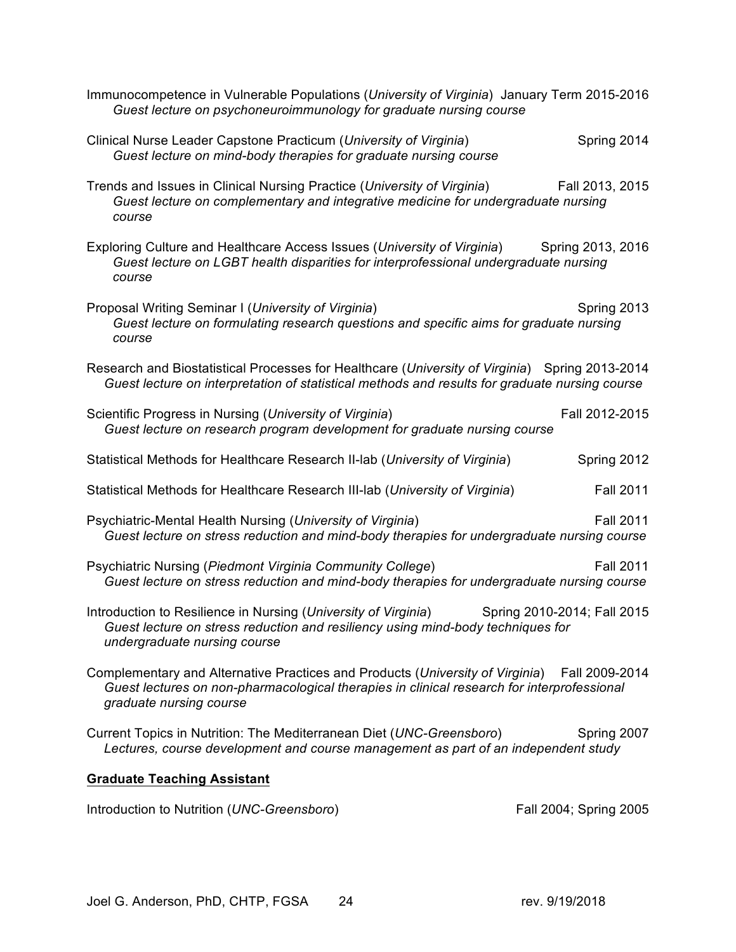| Immunocompetence in Vulnerable Populations (University of Virginia) January Term 2015-2016<br>Guest lecture on psychoneuroimmunology for graduate nursing course                                                      |                             |
|-----------------------------------------------------------------------------------------------------------------------------------------------------------------------------------------------------------------------|-----------------------------|
| Clinical Nurse Leader Capstone Practicum (University of Virginia)<br>Guest lecture on mind-body therapies for graduate nursing course                                                                                 | Spring 2014                 |
| Trends and Issues in Clinical Nursing Practice (University of Virginia)<br>Guest lecture on complementary and integrative medicine for undergraduate nursing<br>course                                                | Fall 2013, 2015             |
| Exploring Culture and Healthcare Access Issues (University of Virginia)<br>Guest lecture on LGBT health disparities for interprofessional undergraduate nursing<br>course                                             | Spring 2013, 2016           |
| Proposal Writing Seminar I (University of Virginia)<br>Guest lecture on formulating research questions and specific aims for graduate nursing<br>course                                                               | Spring 2013                 |
| Research and Biostatistical Processes for Healthcare (University of Virginia) Spring 2013-2014<br>Guest lecture on interpretation of statistical methods and results for graduate nursing course                      |                             |
| Scientific Progress in Nursing (University of Virginia)<br>Guest lecture on research program development for graduate nursing course                                                                                  | Fall 2012-2015              |
| Statistical Methods for Healthcare Research II-lab (University of Virginia)                                                                                                                                           | Spring 2012                 |
| Statistical Methods for Healthcare Research III-lab (University of Virginia)                                                                                                                                          | <b>Fall 2011</b>            |
| Psychiatric-Mental Health Nursing (University of Virginia)<br>Guest lecture on stress reduction and mind-body therapies for undergraduate nursing course                                                              | <b>Fall 2011</b>            |
| Psychiatric Nursing (Piedmont Virginia Community College)<br>Guest lecture on stress reduction and mind-body therapies for undergraduate nursing course                                                               | <b>Fall 2011</b>            |
| Introduction to Resilience in Nursing (University of Virginia)<br>Guest lecture on stress reduction and resiliency using mind-body techniques for<br>undergraduate nursing course                                     | Spring 2010-2014; Fall 2015 |
| Complementary and Alternative Practices and Products (University of Virginia) Fall 2009-2014<br>Guest lectures on non-pharmacological therapies in clinical research for interprofessional<br>graduate nursing course |                             |
| Current Topics in Nutrition: The Mediterranean Diet (UNC-Greensboro)<br>Lectures, course development and course management as part of an independent study                                                            | Spring 2007                 |
| <b>Graduate Teaching Assistant</b>                                                                                                                                                                                    |                             |
| Introduction to Nutrition (UNC-Greensboro)                                                                                                                                                                            | Fall 2004; Spring 2005      |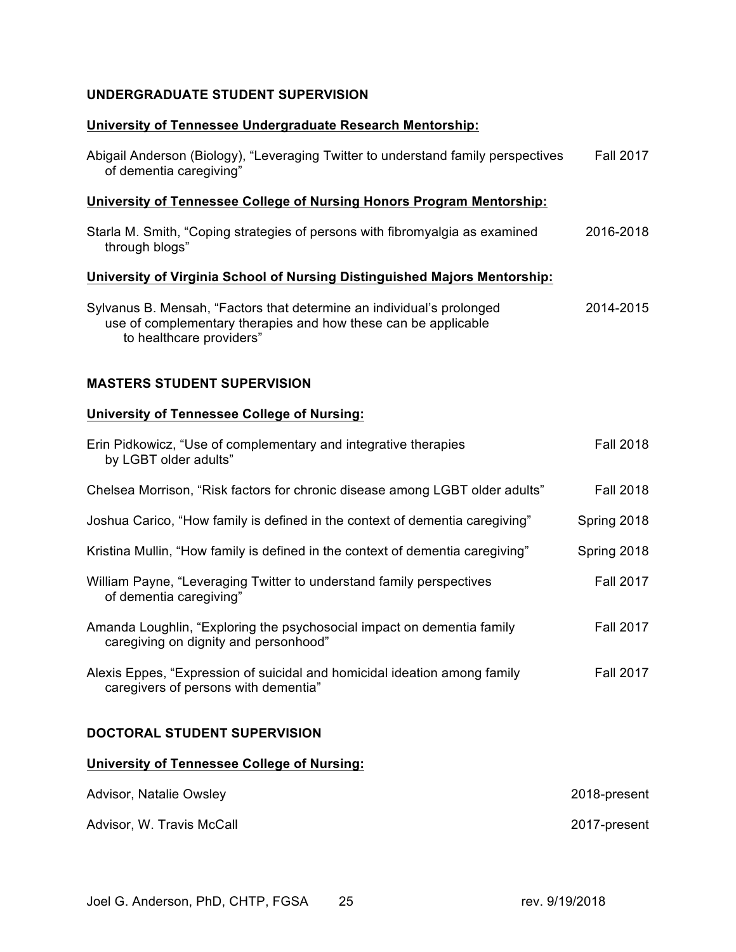## **UNDERGRADUATE STUDENT SUPERVISION**

#### **University of Tennessee Undergraduate Research Mentorship:**

| Abigail Anderson (Biology), "Leveraging Twitter to understand family perspectives<br>of dementia caregiving"                                                        | <b>Fall 2017</b> |
|---------------------------------------------------------------------------------------------------------------------------------------------------------------------|------------------|
| University of Tennessee College of Nursing Honors Program Mentorship:                                                                                               |                  |
| Starla M. Smith, "Coping strategies of persons with fibromyalgia as examined<br>through blogs"                                                                      | 2016-2018        |
| University of Virginia School of Nursing Distinguished Majors Mentorship:                                                                                           |                  |
| Sylvanus B. Mensah, "Factors that determine an individual's prolonged<br>use of complementary therapies and how these can be applicable<br>to healthcare providers" | 2014-2015        |

#### **MASTERS STUDENT SUPERVISION**

# **University of Tennessee College of Nursing:**

| Erin Pidkowicz, "Use of complementary and integrative therapies<br>by LGBT older adults"                          | <b>Fall 2018</b> |
|-------------------------------------------------------------------------------------------------------------------|------------------|
| Chelsea Morrison, "Risk factors for chronic disease among LGBT older adults"                                      | <b>Fall 2018</b> |
| Joshua Carico, "How family is defined in the context of dementia caregiving"                                      | Spring 2018      |
| Kristina Mullin, "How family is defined in the context of dementia caregiving"                                    | Spring 2018      |
| William Payne, "Leveraging Twitter to understand family perspectives<br>of dementia caregiving"                   | <b>Fall 2017</b> |
| Amanda Loughlin, "Exploring the psychosocial impact on dementia family<br>caregiving on dignity and personhood"   | <b>Fall 2017</b> |
| Alexis Eppes, "Expression of suicidal and homicidal ideation among family<br>caregivers of persons with dementia" | <b>Fall 2017</b> |
| DOCTORAL STUDENT SUPERVISION                                                                                      |                  |
| <b>University of Tennessee College of Nursing:</b>                                                                |                  |
| Advisor, Natalie Owsley                                                                                           | 2018-present     |
| Advisor, W. Travis McCall                                                                                         | 2017-present     |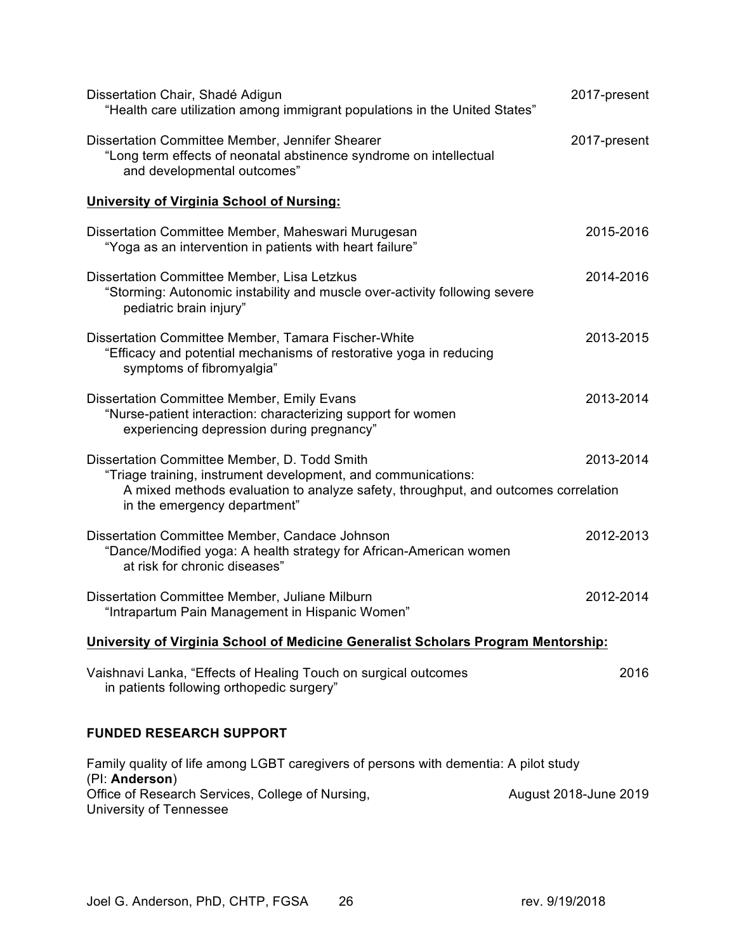| Dissertation Chair, Shadé Adigun<br>"Health care utilization among immigrant populations in the United States"                                                                                                                      | 2017-present          |
|-------------------------------------------------------------------------------------------------------------------------------------------------------------------------------------------------------------------------------------|-----------------------|
| Dissertation Committee Member, Jennifer Shearer<br>"Long term effects of neonatal abstinence syndrome on intellectual<br>and developmental outcomes"                                                                                | 2017-present          |
| <b>University of Virginia School of Nursing:</b>                                                                                                                                                                                    |                       |
| Dissertation Committee Member, Maheswari Murugesan<br>"Yoga as an intervention in patients with heart failure"                                                                                                                      | 2015-2016             |
| Dissertation Committee Member, Lisa Letzkus<br>"Storming: Autonomic instability and muscle over-activity following severe<br>pediatric brain injury"                                                                                | 2014-2016             |
| Dissertation Committee Member, Tamara Fischer-White<br>"Efficacy and potential mechanisms of restorative yoga in reducing<br>symptoms of fibromyalgia"                                                                              | 2013-2015             |
| Dissertation Committee Member, Emily Evans<br>"Nurse-patient interaction: characterizing support for women<br>experiencing depression during pregnancy"                                                                             | 2013-2014             |
| Dissertation Committee Member, D. Todd Smith<br>"Triage training, instrument development, and communications:<br>A mixed methods evaluation to analyze safety, throughput, and outcomes correlation<br>in the emergency department" | 2013-2014             |
| Dissertation Committee Member, Candace Johnson<br>"Dance/Modified yoga: A health strategy for African-American women<br>at risk for chronic diseases"                                                                               | 2012-2013             |
| Dissertation Committee Member, Juliane Milburn<br>"Intrapartum Pain Management in Hispanic Women"                                                                                                                                   | 2012-2014             |
| University of Virginia School of Medicine Generalist Scholars Program Mentorship:                                                                                                                                                   |                       |
| Vaishnavi Lanka, "Effects of Healing Touch on surgical outcomes<br>in patients following orthopedic surgery"                                                                                                                        | 2016                  |
| <b>FUNDED RESEARCH SUPPORT</b>                                                                                                                                                                                                      |                       |
| Family quality of life among LGBT caregivers of persons with dementia: A pilot study                                                                                                                                                |                       |
| (PI: Anderson)<br>Office of Research Services, College of Nursing,<br>University of Tennessee                                                                                                                                       | August 2018-June 2019 |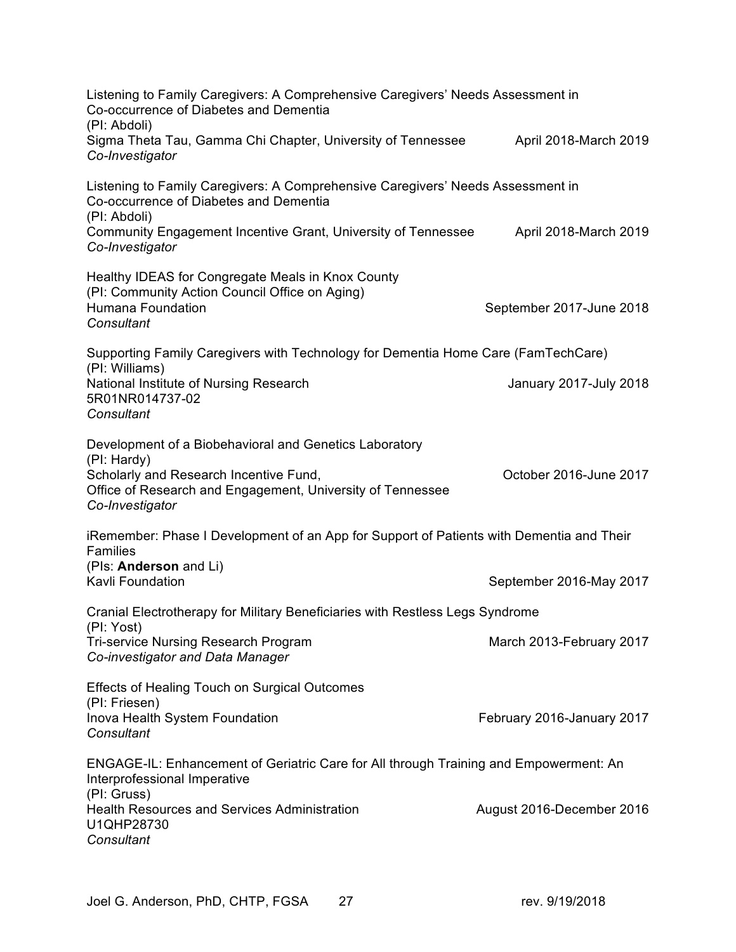| Listening to Family Caregivers: A Comprehensive Caregivers' Needs Assessment in<br>Co-occurrence of Diabetes and Dementia<br>(PI: Abdoli) |                            |  |
|-------------------------------------------------------------------------------------------------------------------------------------------|----------------------------|--|
| Sigma Theta Tau, Gamma Chi Chapter, University of Tennessee<br>Co-Investigator                                                            | April 2018-March 2019      |  |
| Listening to Family Caregivers: A Comprehensive Caregivers' Needs Assessment in<br>Co-occurrence of Diabetes and Dementia<br>(PI: Abdoli) |                            |  |
| Community Engagement Incentive Grant, University of Tennessee<br>Co-Investigator                                                          | April 2018-March 2019      |  |
| Healthy IDEAS for Congregate Meals in Knox County<br>(PI: Community Action Council Office on Aging)<br>Humana Foundation<br>Consultant    | September 2017-June 2018   |  |
| Supporting Family Caregivers with Technology for Dementia Home Care (FamTechCare)                                                         |                            |  |
| (PI: Williams)<br>National Institute of Nursing Research<br>5R01NR014737-02<br>Consultant                                                 | January 2017-July 2018     |  |
| Development of a Biobehavioral and Genetics Laboratory<br>(PI: Hardy)                                                                     |                            |  |
| Scholarly and Research Incentive Fund,<br>Office of Research and Engagement, University of Tennessee<br>Co-Investigator                   | October 2016-June 2017     |  |
| iRemember: Phase I Development of an App for Support of Patients with Dementia and Their<br><b>Families</b>                               |                            |  |
| (Pls: Anderson and Li)<br>Kavli Foundation                                                                                                | September 2016-May 2017    |  |
| Cranial Electrotherapy for Military Beneficiaries with Restless Legs Syndrome                                                             |                            |  |
| (PI: Yost)<br><b>Tri-service Nursing Research Program</b><br>Co-investigator and Data Manager                                             | March 2013-February 2017   |  |
| <b>Effects of Healing Touch on Surgical Outcomes</b><br>(PI: Friesen)                                                                     |                            |  |
| Inova Health System Foundation<br>Consultant                                                                                              | February 2016-January 2017 |  |
| ENGAGE-IL: Enhancement of Geriatric Care for All through Training and Empowerment: An<br>Interprofessional Imperative<br>(PI: Gruss)      |                            |  |
| <b>Health Resources and Services Administration</b><br>U1QHP28730<br>Consultant                                                           | August 2016-December 2016  |  |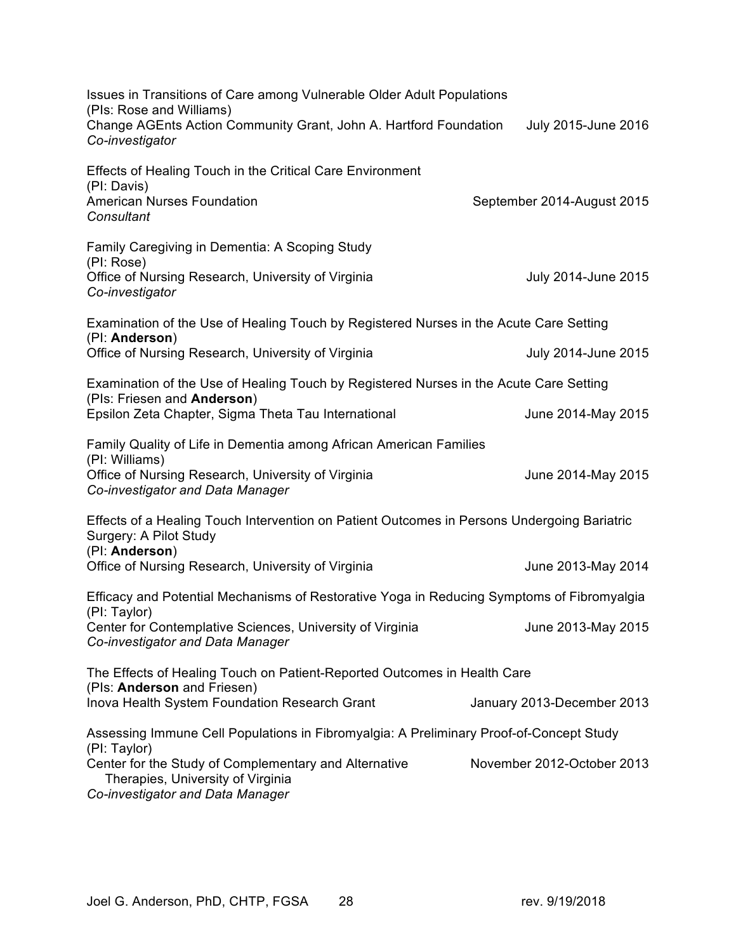| Issues in Transitions of Care among Vulnerable Older Adult Populations<br>(Pls: Rose and Williams)<br>Change AGEnts Action Community Grant, John A. Hartford Foundation<br>Co-investigator | July 2015-June 2016        |  |
|--------------------------------------------------------------------------------------------------------------------------------------------------------------------------------------------|----------------------------|--|
| Effects of Healing Touch in the Critical Care Environment<br>(PI: Davis)<br><b>American Nurses Foundation</b><br>Consultant                                                                | September 2014-August 2015 |  |
| Family Caregiving in Dementia: A Scoping Study<br>(PI: Rose)<br>Office of Nursing Research, University of Virginia<br>Co-investigator                                                      | July 2014-June 2015        |  |
| Examination of the Use of Healing Touch by Registered Nurses in the Acute Care Setting                                                                                                     |                            |  |
| (PI: Anderson)<br>Office of Nursing Research, University of Virginia                                                                                                                       | July 2014-June 2015        |  |
| Examination of the Use of Healing Touch by Registered Nurses in the Acute Care Setting                                                                                                     |                            |  |
| (Pls: Friesen and Anderson)<br>Epsilon Zeta Chapter, Sigma Theta Tau International                                                                                                         | June 2014-May 2015         |  |
| Family Quality of Life in Dementia among African American Families                                                                                                                         |                            |  |
| (PI: Williams)<br>Office of Nursing Research, University of Virginia<br>Co-investigator and Data Manager                                                                                   | June 2014-May 2015         |  |
| Effects of a Healing Touch Intervention on Patient Outcomes in Persons Undergoing Bariatric<br>Surgery: A Pilot Study                                                                      |                            |  |
| (PI: Anderson)<br>Office of Nursing Research, University of Virginia                                                                                                                       | June 2013-May 2014         |  |
| Efficacy and Potential Mechanisms of Restorative Yoga in Reducing Symptoms of Fibromyalgia                                                                                                 |                            |  |
| (PI: Taylor)<br>Center for Contemplative Sciences, University of Virginia<br>Co-investigator and Data Manager                                                                              | June 2013-May 2015         |  |
| The Effects of Healing Touch on Patient-Reported Outcomes in Health Care                                                                                                                   |                            |  |
| (Pls: Anderson and Friesen)<br>Inova Health System Foundation Research Grant                                                                                                               | January 2013-December 2013 |  |
| Assessing Immune Cell Populations in Fibromyalgia: A Preliminary Proof-of-Concept Study<br>(PI: Taylor)                                                                                    |                            |  |
| Center for the Study of Complementary and Alternative<br>Therapies, University of Virginia<br>Co-investigator and Data Manager                                                             | November 2012-October 2013 |  |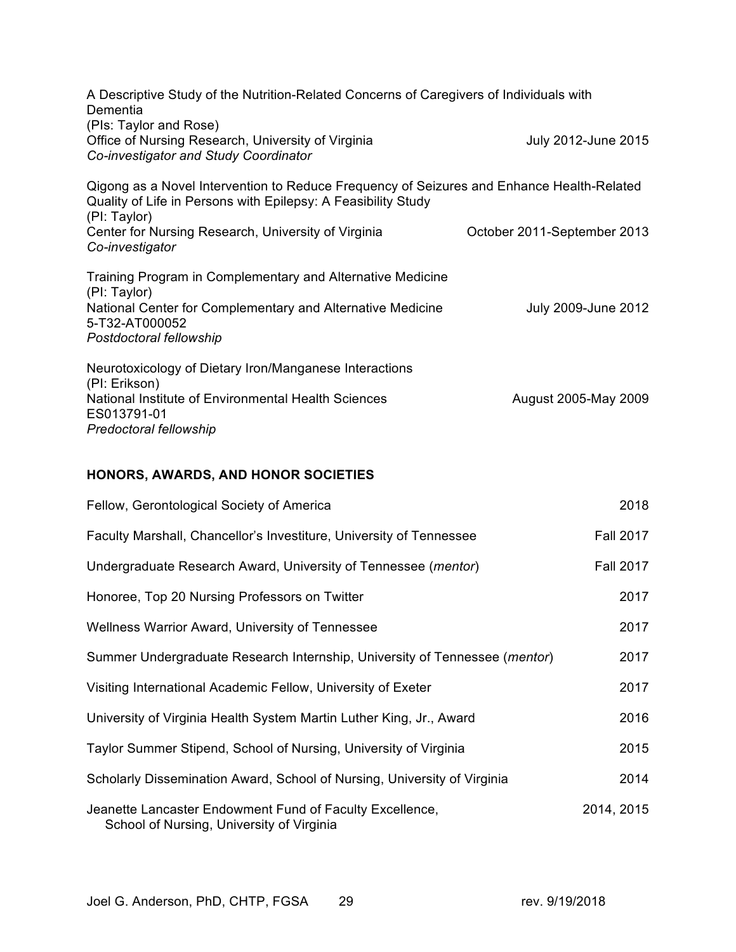| A Descriptive Study of the Nutrition-Related Concerns of Caregivers of Individuals with<br>Dementia                                                                        |                             |
|----------------------------------------------------------------------------------------------------------------------------------------------------------------------------|-----------------------------|
| (Pls: Taylor and Rose)<br>Office of Nursing Research, University of Virginia<br>Co-investigator and Study Coordinator                                                      | July 2012-June 2015         |
| Qigong as a Novel Intervention to Reduce Frequency of Seizures and Enhance Health-Related<br>Quality of Life in Persons with Epilepsy: A Feasibility Study<br>(PI: Taylor) |                             |
| Center for Nursing Research, University of Virginia<br>Co-investigator                                                                                                     | October 2011-September 2013 |
| Training Program in Complementary and Alternative Medicine<br>(PI: Taylor)                                                                                                 |                             |
| National Center for Complementary and Alternative Medicine<br>5-T32-AT000052<br>Postdoctoral fellowship                                                                    | July 2009-June 2012         |
| Neurotoxicology of Dietary Iron/Manganese Interactions<br>(PI: Erikson)                                                                                                    |                             |
| National Institute of Environmental Health Sciences<br>ES013791-01<br>Predoctoral fellowship                                                                               | August 2005-May 2009        |
|                                                                                                                                                                            |                             |

# **HONORS, AWARDS, AND HONOR SOCIETIES**

| Fellow, Gerontological Society of America                                                             | 2018             |
|-------------------------------------------------------------------------------------------------------|------------------|
| Faculty Marshall, Chancellor's Investiture, University of Tennessee                                   | <b>Fall 2017</b> |
| Undergraduate Research Award, University of Tennessee ( <i>mentor</i> )                               | <b>Fall 2017</b> |
| Honoree, Top 20 Nursing Professors on Twitter                                                         | 2017             |
| Wellness Warrior Award, University of Tennessee                                                       | 2017             |
| Summer Undergraduate Research Internship, University of Tennessee ( <i>mentor</i> )                   | 2017             |
| Visiting International Academic Fellow, University of Exeter                                          | 2017             |
| University of Virginia Health System Martin Luther King, Jr., Award                                   | 2016             |
| Taylor Summer Stipend, School of Nursing, University of Virginia                                      | 2015             |
| Scholarly Dissemination Award, School of Nursing, University of Virginia                              | 2014             |
| Jeanette Lancaster Endowment Fund of Faculty Excellence,<br>School of Nursing, University of Virginia | 2014, 2015       |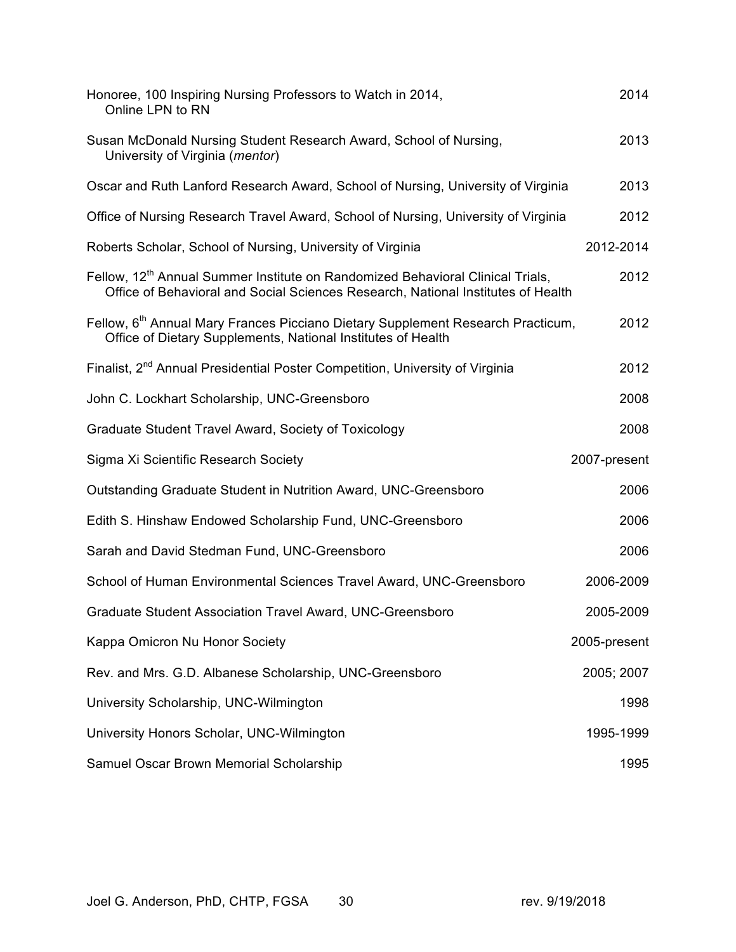| Honoree, 100 Inspiring Nursing Professors to Watch in 2014,<br>Online LPN to RN                                                                                                | 2014         |
|--------------------------------------------------------------------------------------------------------------------------------------------------------------------------------|--------------|
| Susan McDonald Nursing Student Research Award, School of Nursing,<br>University of Virginia (mentor)                                                                           | 2013         |
| Oscar and Ruth Lanford Research Award, School of Nursing, University of Virginia                                                                                               | 2013         |
| Office of Nursing Research Travel Award, School of Nursing, University of Virginia                                                                                             | 2012         |
| Roberts Scholar, School of Nursing, University of Virginia                                                                                                                     | 2012-2014    |
| Fellow, 12 <sup>th</sup> Annual Summer Institute on Randomized Behavioral Clinical Trials,<br>Office of Behavioral and Social Sciences Research, National Institutes of Health | 2012         |
| Fellow, 6 <sup>th</sup> Annual Mary Frances Picciano Dietary Supplement Research Practicum,<br>Office of Dietary Supplements, National Institutes of Health                    | 2012         |
| Finalist, 2 <sup>nd</sup> Annual Presidential Poster Competition, University of Virginia                                                                                       | 2012         |
| John C. Lockhart Scholarship, UNC-Greensboro                                                                                                                                   | 2008         |
| Graduate Student Travel Award, Society of Toxicology                                                                                                                           | 2008         |
| Sigma Xi Scientific Research Society                                                                                                                                           | 2007-present |
| Outstanding Graduate Student in Nutrition Award, UNC-Greensboro                                                                                                                | 2006         |
| Edith S. Hinshaw Endowed Scholarship Fund, UNC-Greensboro                                                                                                                      | 2006         |
| Sarah and David Stedman Fund, UNC-Greensboro                                                                                                                                   | 2006         |
| School of Human Environmental Sciences Travel Award, UNC-Greensboro                                                                                                            | 2006-2009    |
| Graduate Student Association Travel Award, UNC-Greensboro                                                                                                                      | 2005-2009    |
| Kappa Omicron Nu Honor Society                                                                                                                                                 | 2005-present |
| Rev. and Mrs. G.D. Albanese Scholarship, UNC-Greensboro                                                                                                                        | 2005; 2007   |
| University Scholarship, UNC-Wilmington                                                                                                                                         | 1998         |
| University Honors Scholar, UNC-Wilmington                                                                                                                                      | 1995-1999    |
| Samuel Oscar Brown Memorial Scholarship                                                                                                                                        | 1995         |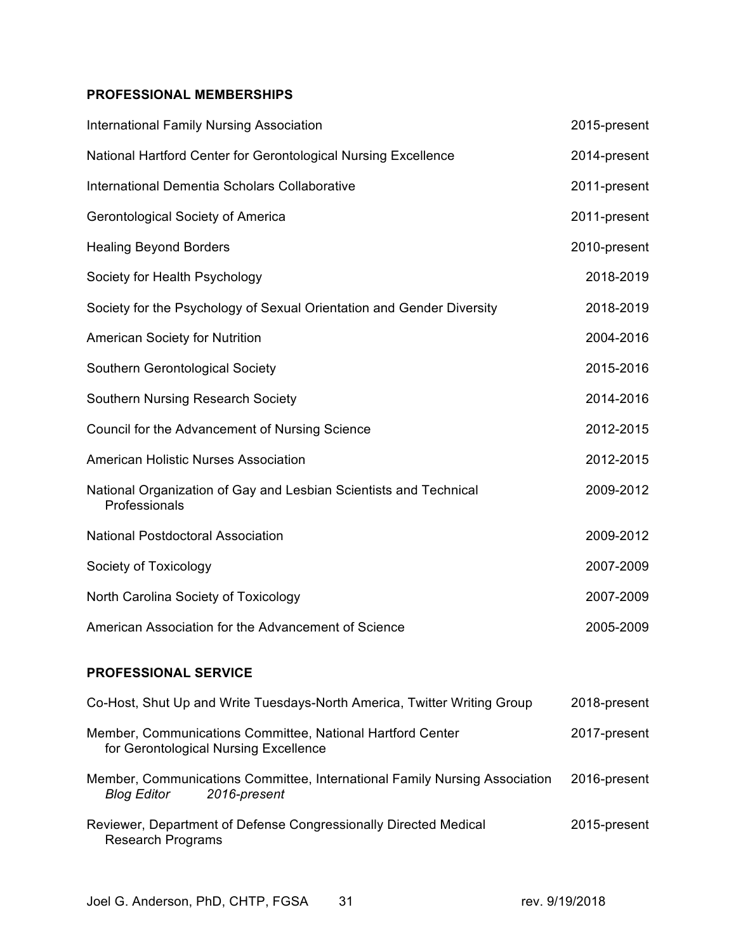## **PROFESSIONAL MEMBERSHIPS**

| <b>International Family Nursing Association</b>                                                     | 2015-present |
|-----------------------------------------------------------------------------------------------------|--------------|
| National Hartford Center for Gerontological Nursing Excellence                                      | 2014-present |
| International Dementia Scholars Collaborative                                                       | 2011-present |
| Gerontological Society of America                                                                   | 2011-present |
| <b>Healing Beyond Borders</b>                                                                       | 2010-present |
| Society for Health Psychology                                                                       | 2018-2019    |
| Society for the Psychology of Sexual Orientation and Gender Diversity                               | 2018-2019    |
| <b>American Society for Nutrition</b>                                                               | 2004-2016    |
| Southern Gerontological Society                                                                     | 2015-2016    |
| Southern Nursing Research Society                                                                   | 2014-2016    |
| Council for the Advancement of Nursing Science                                                      | 2012-2015    |
| <b>American Holistic Nurses Association</b>                                                         | 2012-2015    |
| National Organization of Gay and Lesbian Scientists and Technical<br>Professionals                  | 2009-2012    |
| <b>National Postdoctoral Association</b>                                                            | 2009-2012    |
| Society of Toxicology                                                                               | 2007-2009    |
| North Carolina Society of Toxicology                                                                | 2007-2009    |
| American Association for the Advancement of Science                                                 | 2005-2009    |
| <b>PROFESSIONAL SERVICE</b>                                                                         |              |
| Co-Host, Shut Up and Write Tuesdays-North America, Twitter Writing Group                            | 2018-present |
| Member, Communications Committee, National Hartford Center<br>for Gerontological Nursing Excellence | 2017-present |

Member, Communications Committee, International Family Nursing Association 2016-present *Blog Editor 2016-present*

Reviewer, Department of Defense Congressionally Directed Medical 2015-present Research Programs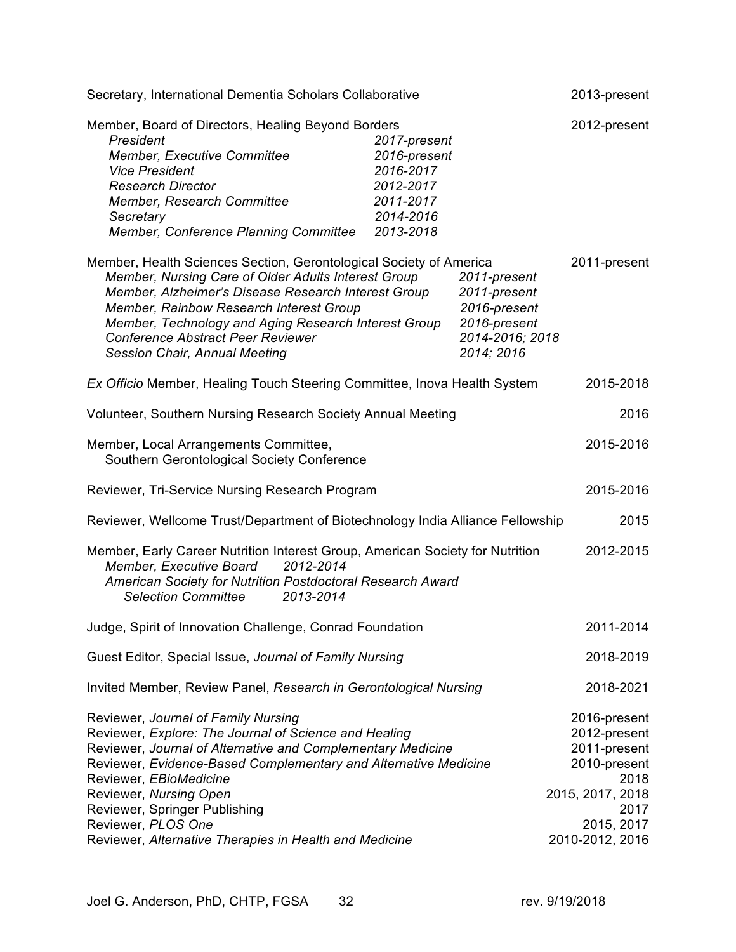| Secretary, International Dementia Scholars Collaborative                                                                                                                                                                                                                                                                                                                |                                                                                               |                                                                                               | 2013-present                                                                                                   |
|-------------------------------------------------------------------------------------------------------------------------------------------------------------------------------------------------------------------------------------------------------------------------------------------------------------------------------------------------------------------------|-----------------------------------------------------------------------------------------------|-----------------------------------------------------------------------------------------------|----------------------------------------------------------------------------------------------------------------|
| Member, Board of Directors, Healing Beyond Borders<br>President<br>Member, Executive Committee<br><b>Vice President</b><br><b>Research Director</b><br>Member, Research Committee<br>Secretary<br>Member, Conference Planning Committee                                                                                                                                 | 2017-present<br>2016-present<br>2016-2017<br>2012-2017<br>2011-2017<br>2014-2016<br>2013-2018 |                                                                                               | 2012-present                                                                                                   |
| Member, Health Sciences Section, Gerontological Society of America<br>Member, Nursing Care of Older Adults Interest Group<br>Member, Alzheimer's Disease Research Interest Group<br>Member, Rainbow Research Interest Group<br>Member, Technology and Aging Research Interest Group<br><b>Conference Abstract Peer Reviewer</b><br><b>Session Chair, Annual Meeting</b> |                                                                                               | 2011-present<br>2011-present<br>2016-present<br>2016-present<br>2014-2016; 2018<br>2014; 2016 | 2011-present                                                                                                   |
| Ex Officio Member, Healing Touch Steering Committee, Inova Health System                                                                                                                                                                                                                                                                                                |                                                                                               |                                                                                               | 2015-2018                                                                                                      |
| Volunteer, Southern Nursing Research Society Annual Meeting                                                                                                                                                                                                                                                                                                             |                                                                                               |                                                                                               | 2016                                                                                                           |
| Member, Local Arrangements Committee,<br>Southern Gerontological Society Conference                                                                                                                                                                                                                                                                                     |                                                                                               |                                                                                               | 2015-2016                                                                                                      |
| Reviewer, Tri-Service Nursing Research Program                                                                                                                                                                                                                                                                                                                          |                                                                                               |                                                                                               | 2015-2016                                                                                                      |
| Reviewer, Wellcome Trust/Department of Biotechnology India Alliance Fellowship                                                                                                                                                                                                                                                                                          |                                                                                               |                                                                                               | 2015                                                                                                           |
| Member, Early Career Nutrition Interest Group, American Society for Nutrition<br>2012-2014<br>Member, Executive Board<br>American Society for Nutrition Postdoctoral Research Award<br><b>Selection Committee</b><br>2013-2014                                                                                                                                          |                                                                                               |                                                                                               | 2012-2015                                                                                                      |
| Judge, Spirit of Innovation Challenge, Conrad Foundation                                                                                                                                                                                                                                                                                                                |                                                                                               |                                                                                               | 2011-2014                                                                                                      |
| Guest Editor, Special Issue, Journal of Family Nursing                                                                                                                                                                                                                                                                                                                  |                                                                                               |                                                                                               | 2018-2019                                                                                                      |
| Invited Member, Review Panel, Research in Gerontological Nursing                                                                                                                                                                                                                                                                                                        |                                                                                               |                                                                                               | 2018-2021                                                                                                      |
| Reviewer, Journal of Family Nursing<br>Reviewer, Explore: The Journal of Science and Healing<br>Reviewer, Journal of Alternative and Complementary Medicine<br>Reviewer, Evidence-Based Complementary and Alternative Medicine<br>Reviewer, EBioMedicine<br>Reviewer, Nursing Open<br>Reviewer, Springer Publishing<br>Reviewer, PLOS One                               |                                                                                               |                                                                                               | 2016-present<br>2012-present<br>2011-present<br>2010-present<br>2018<br>2015, 2017, 2018<br>2017<br>2015, 2017 |
| Reviewer, Alternative Therapies in Health and Medicine                                                                                                                                                                                                                                                                                                                  |                                                                                               |                                                                                               | 2010-2012, 2016                                                                                                |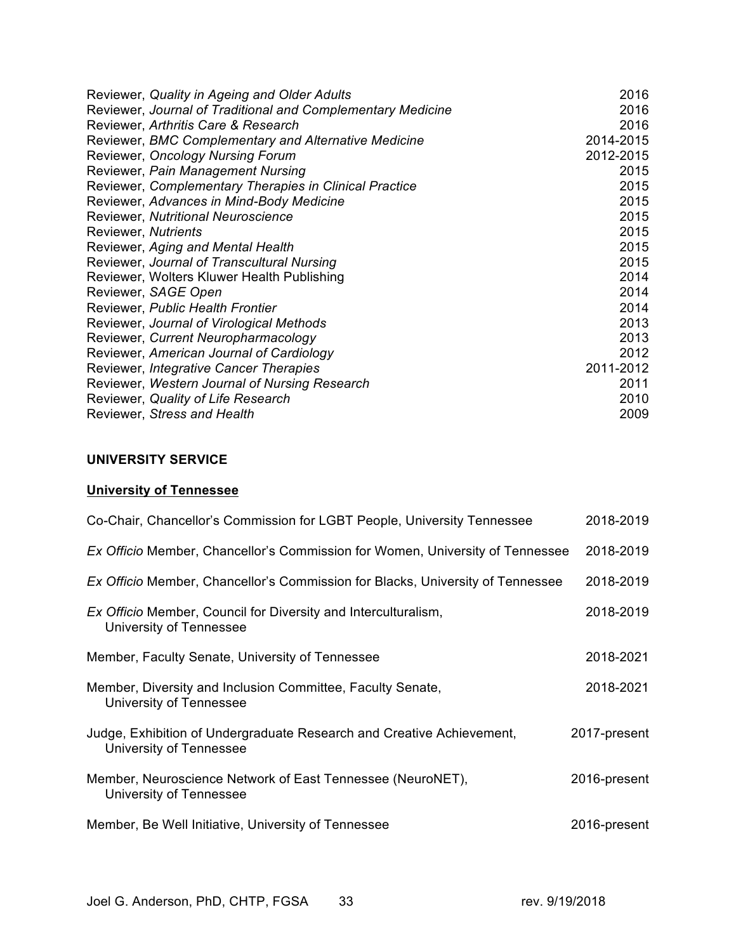| Reviewer, Quality in Ageing and Older Adults                | 2016      |
|-------------------------------------------------------------|-----------|
| Reviewer, Journal of Traditional and Complementary Medicine | 2016      |
| Reviewer, Arthritis Care & Research                         | 2016      |
| Reviewer, BMC Complementary and Alternative Medicine        | 2014-2015 |
| Reviewer, Oncology Nursing Forum                            | 2012-2015 |
| Reviewer, Pain Management Nursing                           | 2015      |
| Reviewer, Complementary Therapies in Clinical Practice      | 2015      |
| Reviewer, Advances in Mind-Body Medicine                    | 2015      |
| Reviewer, Nutritional Neuroscience                          | 2015      |
| Reviewer, Nutrients                                         | 2015      |
| Reviewer, Aging and Mental Health                           | 2015      |
| Reviewer, Journal of Transcultural Nursing                  | 2015      |
| Reviewer, Wolters Kluwer Health Publishing                  | 2014      |
| Reviewer, SAGE Open                                         | 2014      |
| Reviewer, Public Health Frontier                            | 2014      |
| Reviewer, Journal of Virological Methods                    | 2013      |
| Reviewer, Current Neuropharmacology                         | 2013      |
| Reviewer, American Journal of Cardiology                    | 2012      |
| Reviewer, Integrative Cancer Therapies                      | 2011-2012 |
| Reviewer, Western Journal of Nursing Research               | 2011      |
| Reviewer, Quality of Life Research                          | 2010      |
| Reviewer, Stress and Health                                 | 2009      |

## **UNIVERSITY SERVICE**

# **University of Tennessee**

| Co-Chair, Chancellor's Commission for LGBT People, University Tennessee                          | 2018-2019    |
|--------------------------------------------------------------------------------------------------|--------------|
| Ex Officio Member, Chancellor's Commission for Women, University of Tennessee                    | 2018-2019    |
| Ex Officio Member, Chancellor's Commission for Blacks, University of Tennessee                   | 2018-2019    |
| Ex Officio Member, Council for Diversity and Interculturalism,<br>University of Tennessee        | 2018-2019    |
| Member, Faculty Senate, University of Tennessee                                                  | 2018-2021    |
| Member, Diversity and Inclusion Committee, Faculty Senate,<br>University of Tennessee            | 2018-2021    |
| Judge, Exhibition of Undergraduate Research and Creative Achievement,<br>University of Tennessee | 2017-present |
| Member, Neuroscience Network of East Tennessee (NeuroNET),<br>University of Tennessee            | 2016-present |
| Member, Be Well Initiative, University of Tennessee                                              | 2016-present |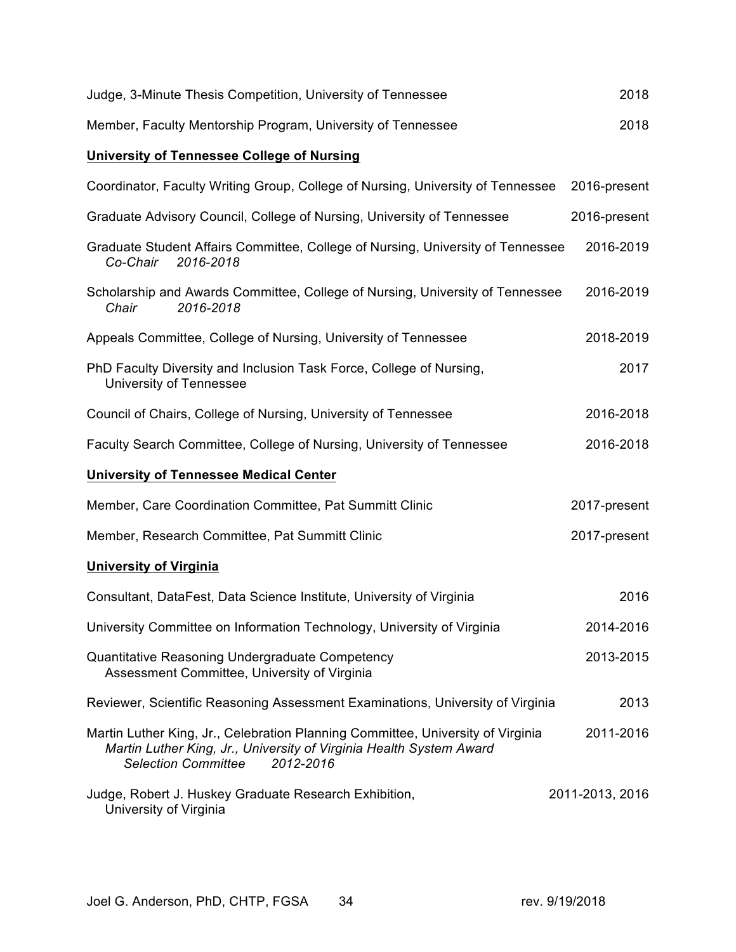| Judge, 3-Minute Thesis Competition, University of Tennessee                                                                                                                                       | 2018            |
|---------------------------------------------------------------------------------------------------------------------------------------------------------------------------------------------------|-----------------|
| Member, Faculty Mentorship Program, University of Tennessee                                                                                                                                       | 2018            |
| <b>University of Tennessee College of Nursing</b>                                                                                                                                                 |                 |
| Coordinator, Faculty Writing Group, College of Nursing, University of Tennessee                                                                                                                   | 2016-present    |
| Graduate Advisory Council, College of Nursing, University of Tennessee                                                                                                                            | 2016-present    |
| Graduate Student Affairs Committee, College of Nursing, University of Tennessee<br>Co-Chair<br>2016-2018                                                                                          | 2016-2019       |
| Scholarship and Awards Committee, College of Nursing, University of Tennessee<br>2016-2018<br>Chair                                                                                               | 2016-2019       |
| Appeals Committee, College of Nursing, University of Tennessee                                                                                                                                    | 2018-2019       |
| PhD Faculty Diversity and Inclusion Task Force, College of Nursing,<br><b>University of Tennessee</b>                                                                                             | 2017            |
| Council of Chairs, College of Nursing, University of Tennessee                                                                                                                                    | 2016-2018       |
| Faculty Search Committee, College of Nursing, University of Tennessee                                                                                                                             | 2016-2018       |
| <b>University of Tennessee Medical Center</b>                                                                                                                                                     |                 |
| Member, Care Coordination Committee, Pat Summitt Clinic                                                                                                                                           | 2017-present    |
| Member, Research Committee, Pat Summitt Clinic                                                                                                                                                    | 2017-present    |
| <b>University of Virginia</b>                                                                                                                                                                     |                 |
| Consultant, DataFest, Data Science Institute, University of Virginia                                                                                                                              | 2016            |
| University Committee on Information Technology, University of Virginia                                                                                                                            | 2014-2016       |
| Quantitative Reasoning Undergraduate Competency<br>Assessment Committee, University of Virginia                                                                                                   | 2013-2015       |
| Reviewer, Scientific Reasoning Assessment Examinations, University of Virginia                                                                                                                    | 2013            |
| Martin Luther King, Jr., Celebration Planning Committee, University of Virginia<br>Martin Luther King, Jr., University of Virginia Health System Award<br>2012-2016<br><b>Selection Committee</b> | 2011-2016       |
| Judge, Robert J. Huskey Graduate Research Exhibition,<br>University of Virginia                                                                                                                   | 2011-2013, 2016 |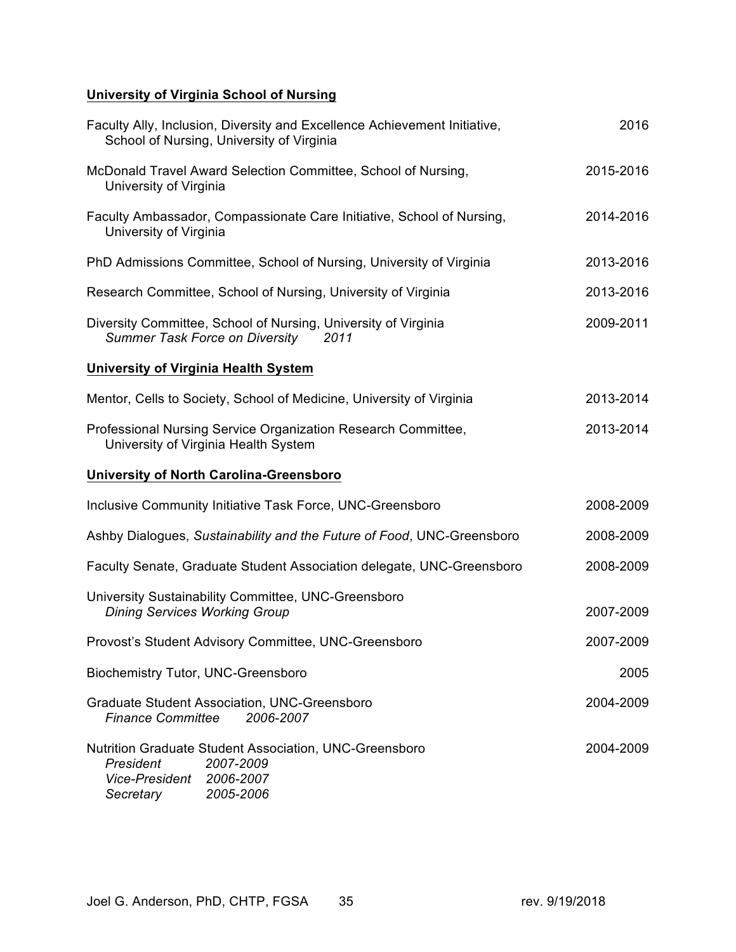# **University of Virginia School of Nursing**

| Faculty Ally, Inclusion, Diversity and Excellence Achievement Initiative,<br>School of Nursing, University of Virginia                           | 2016      |
|--------------------------------------------------------------------------------------------------------------------------------------------------|-----------|
| McDonald Travel Award Selection Committee, School of Nursing,<br>University of Virginia                                                          | 2015-2016 |
| Faculty Ambassador, Compassionate Care Initiative, School of Nursing,<br>University of Virginia                                                  | 2014-2016 |
| PhD Admissions Committee, School of Nursing, University of Virginia                                                                              | 2013-2016 |
| Research Committee, School of Nursing, University of Virginia                                                                                    | 2013-2016 |
| Diversity Committee, School of Nursing, University of Virginia<br>Summer Task Force on Diversity<br>2011                                         | 2009-2011 |
| <b>University of Virginia Health System</b>                                                                                                      |           |
| Mentor, Cells to Society, School of Medicine, University of Virginia                                                                             | 2013-2014 |
| Professional Nursing Service Organization Research Committee,<br>University of Virginia Health System                                            | 2013-2014 |
| <b>University of North Carolina-Greensboro</b>                                                                                                   |           |
| Inclusive Community Initiative Task Force, UNC-Greensboro                                                                                        | 2008-2009 |
| Ashby Dialogues, Sustainability and the Future of Food, UNC-Greensboro                                                                           | 2008-2009 |
| Faculty Senate, Graduate Student Association delegate, UNC-Greensboro                                                                            | 2008-2009 |
| University Sustainability Committee, UNC-Greensboro<br><b>Dining Services Working Group</b>                                                      | 2007-2009 |
| Provost's Student Advisory Committee, UNC-Greensboro                                                                                             | 2007-2009 |
| <b>Biochemistry Tutor, UNC-Greensboro</b>                                                                                                        | 2005      |
| <b>Graduate Student Association, UNC-Greensboro</b><br><b>Finance Committee</b><br>2006-2007                                                     | 2004-2009 |
| Nutrition Graduate Student Association, UNC-Greensboro<br>President<br>2007-2009<br>2006-2007<br><b>Vice-President</b><br>2005-2006<br>Secretary | 2004-2009 |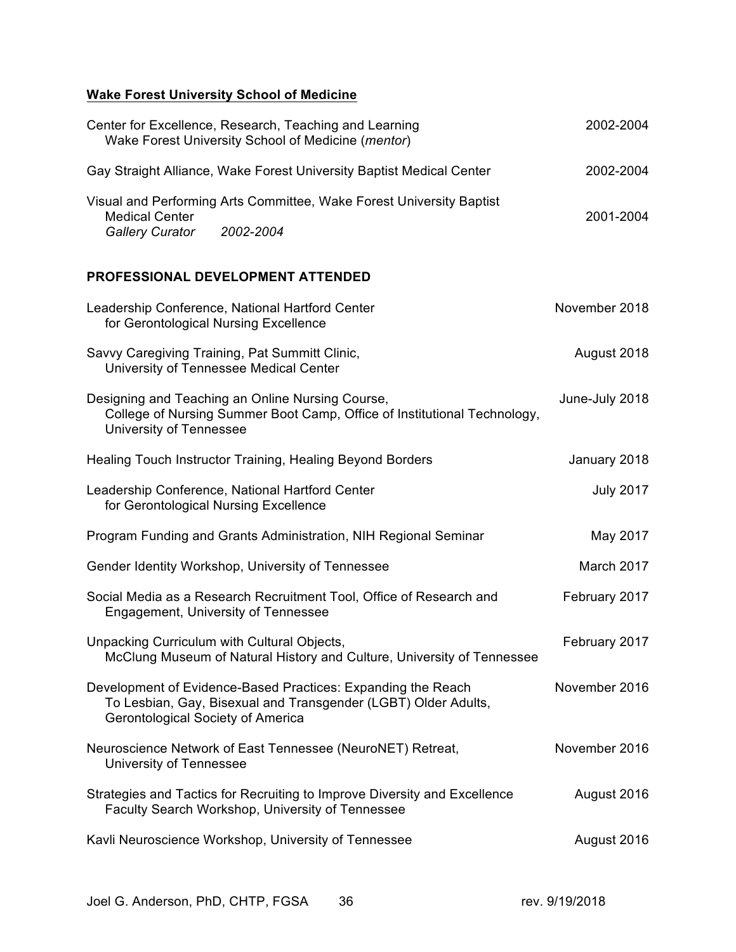# **Wake Forest University School of Medicine**

|                                                 | Center for Excellence, Research, Teaching and Learning<br>Wake Forest University School of Medicine (mentor)                   | 2002-2004        |
|-------------------------------------------------|--------------------------------------------------------------------------------------------------------------------------------|------------------|
|                                                 | Gay Straight Alliance, Wake Forest University Baptist Medical Center                                                           | 2002-2004        |
| <b>Medical Center</b><br><b>Gallery Curator</b> | Visual and Performing Arts Committee, Wake Forest University Baptist<br>2002-2004                                              | 2001-2004        |
|                                                 | PROFESSIONAL DEVELOPMENT ATTENDED                                                                                              |                  |
| for Gerontological Nursing Excellence           | Leadership Conference, National Hartford Center                                                                                | November 2018    |
|                                                 | Savvy Caregiving Training, Pat Summitt Clinic,<br>University of Tennessee Medical Center                                       | August 2018      |
| University of Tennessee                         | Designing and Teaching an Online Nursing Course,<br>College of Nursing Summer Boot Camp, Office of Institutional Technology,   | June-July 2018   |
|                                                 | Healing Touch Instructor Training, Healing Beyond Borders                                                                      | January 2018     |
| for Gerontological Nursing Excellence           | Leadership Conference, National Hartford Center                                                                                | <b>July 2017</b> |
|                                                 | Program Funding and Grants Administration, NIH Regional Seminar                                                                | May 2017         |
|                                                 | Gender Identity Workshop, University of Tennessee                                                                              | March 2017       |
|                                                 | Social Media as a Research Recruitment Tool, Office of Research and<br><b>Engagement, University of Tennessee</b>              | February 2017    |
| Unpacking Curriculum with Cultural Objects,     | McClung Museum of Natural History and Culture, University of Tennessee                                                         | February 2017    |
| <b>Gerontological Society of America</b>        | Development of Evidence-Based Practices: Expanding the Reach<br>To Lesbian, Gay, Bisexual and Transgender (LGBT) Older Adults, | November 2016    |
| University of Tennessee                         | Neuroscience Network of East Tennessee (NeuroNET) Retreat,                                                                     | November 2016    |
|                                                 | Strategies and Tactics for Recruiting to Improve Diversity and Excellence<br>Faculty Search Workshop, University of Tennessee  | August 2016      |
|                                                 | Kavli Neuroscience Workshop, University of Tennessee                                                                           | August 2016      |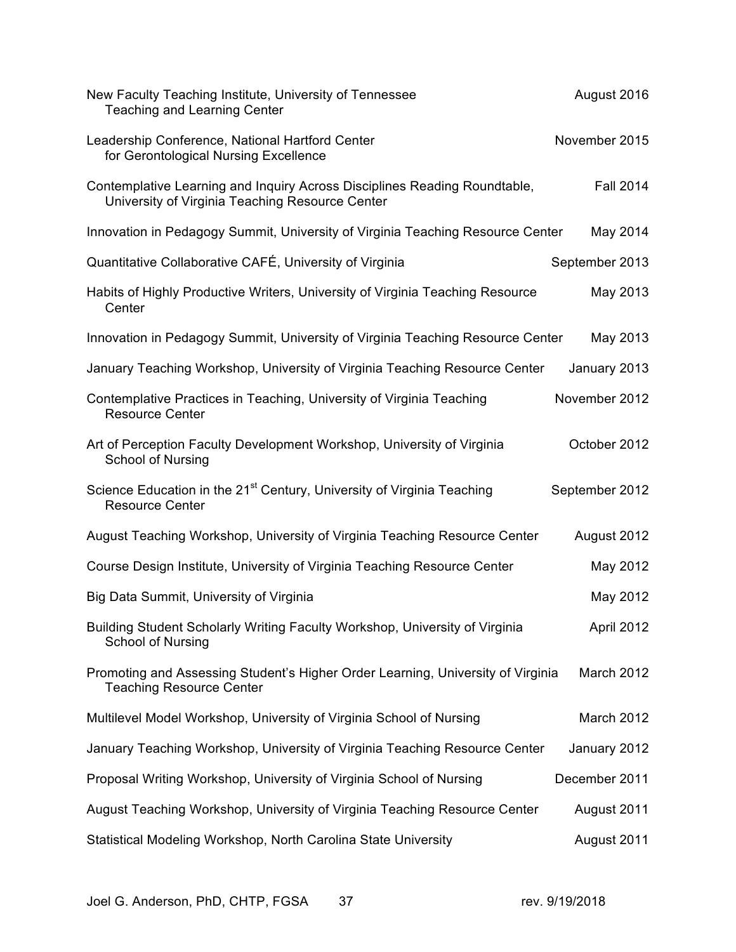| New Faculty Teaching Institute, University of Tennessee<br><b>Teaching and Learning Center</b>                               | August 2016      |
|------------------------------------------------------------------------------------------------------------------------------|------------------|
| Leadership Conference, National Hartford Center<br>for Gerontological Nursing Excellence                                     | November 2015    |
| Contemplative Learning and Inquiry Across Disciplines Reading Roundtable,<br>University of Virginia Teaching Resource Center | <b>Fall 2014</b> |
| Innovation in Pedagogy Summit, University of Virginia Teaching Resource Center                                               | May 2014         |
| Quantitative Collaborative CAFÉ, University of Virginia                                                                      | September 2013   |
| Habits of Highly Productive Writers, University of Virginia Teaching Resource<br>Center                                      | May 2013         |
| Innovation in Pedagogy Summit, University of Virginia Teaching Resource Center                                               | May 2013         |
| January Teaching Workshop, University of Virginia Teaching Resource Center                                                   | January 2013     |
| Contemplative Practices in Teaching, University of Virginia Teaching<br><b>Resource Center</b>                               | November 2012    |
| Art of Perception Faculty Development Workshop, University of Virginia<br>School of Nursing                                  | October 2012     |
| Science Education in the 21 <sup>st</sup> Century, University of Virginia Teaching<br><b>Resource Center</b>                 | September 2012   |
| August Teaching Workshop, University of Virginia Teaching Resource Center                                                    | August 2012      |
| Course Design Institute, University of Virginia Teaching Resource Center                                                     | May 2012         |
| Big Data Summit, University of Virginia                                                                                      | May 2012         |
| Building Student Scholarly Writing Faculty Workshop, University of Virginia<br>School of Nursing                             | April 2012       |
| Promoting and Assessing Student's Higher Order Learning, University of Virginia<br><b>Teaching Resource Center</b>           | March 2012       |
| Multilevel Model Workshop, University of Virginia School of Nursing                                                          | March 2012       |
| January Teaching Workshop, University of Virginia Teaching Resource Center                                                   | January 2012     |
| Proposal Writing Workshop, University of Virginia School of Nursing                                                          | December 2011    |
| August Teaching Workshop, University of Virginia Teaching Resource Center                                                    | August 2011      |
| Statistical Modeling Workshop, North Carolina State University                                                               | August 2011      |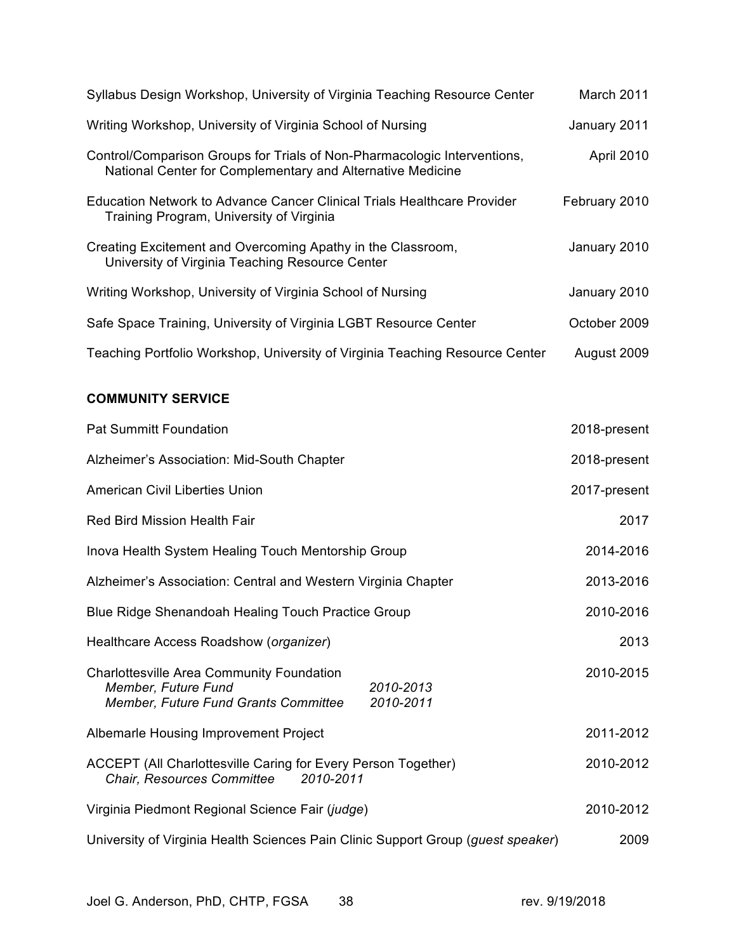| Syllabus Design Workshop, University of Virginia Teaching Resource Center                                                              | March 2011    |
|----------------------------------------------------------------------------------------------------------------------------------------|---------------|
| Writing Workshop, University of Virginia School of Nursing                                                                             | January 2011  |
| Control/Comparison Groups for Trials of Non-Pharmacologic Interventions,<br>National Center for Complementary and Alternative Medicine | April 2010    |
| Education Network to Advance Cancer Clinical Trials Healthcare Provider<br>Training Program, University of Virginia                    | February 2010 |
| Creating Excitement and Overcoming Apathy in the Classroom,<br>University of Virginia Teaching Resource Center                         | January 2010  |
| Writing Workshop, University of Virginia School of Nursing                                                                             | January 2010  |
| Safe Space Training, University of Virginia LGBT Resource Center                                                                       | October 2009  |
| Teaching Portfolio Workshop, University of Virginia Teaching Resource Center                                                           | August 2009   |
|                                                                                                                                        |               |

# **COMMUNITY SERVICE**

| <b>Pat Summitt Foundation</b>                                                                                                                    | 2018-present |
|--------------------------------------------------------------------------------------------------------------------------------------------------|--------------|
| Alzheimer's Association: Mid-South Chapter                                                                                                       | 2018-present |
| <b>American Civil Liberties Union</b>                                                                                                            | 2017-present |
| <b>Red Bird Mission Health Fair</b>                                                                                                              | 2017         |
| Inova Health System Healing Touch Mentorship Group                                                                                               | 2014-2016    |
| Alzheimer's Association: Central and Western Virginia Chapter                                                                                    | 2013-2016    |
| Blue Ridge Shenandoah Healing Touch Practice Group                                                                                               | 2010-2016    |
| Healthcare Access Roadshow (organizer)                                                                                                           | 2013         |
| <b>Charlottesville Area Community Foundation</b><br>2010-2013<br>Member, Future Fund<br>2010-2011<br><b>Member, Future Fund Grants Committee</b> | 2010-2015    |
| Albemarle Housing Improvement Project                                                                                                            | 2011-2012    |
| ACCEPT (All Charlottesville Caring for Every Person Together)<br>2010-2011<br><b>Chair, Resources Committee</b>                                  | 2010-2012    |
| Virginia Piedmont Regional Science Fair (judge)                                                                                                  | 2010-2012    |
| University of Virginia Health Sciences Pain Clinic Support Group (guest speaker)                                                                 | 2009         |